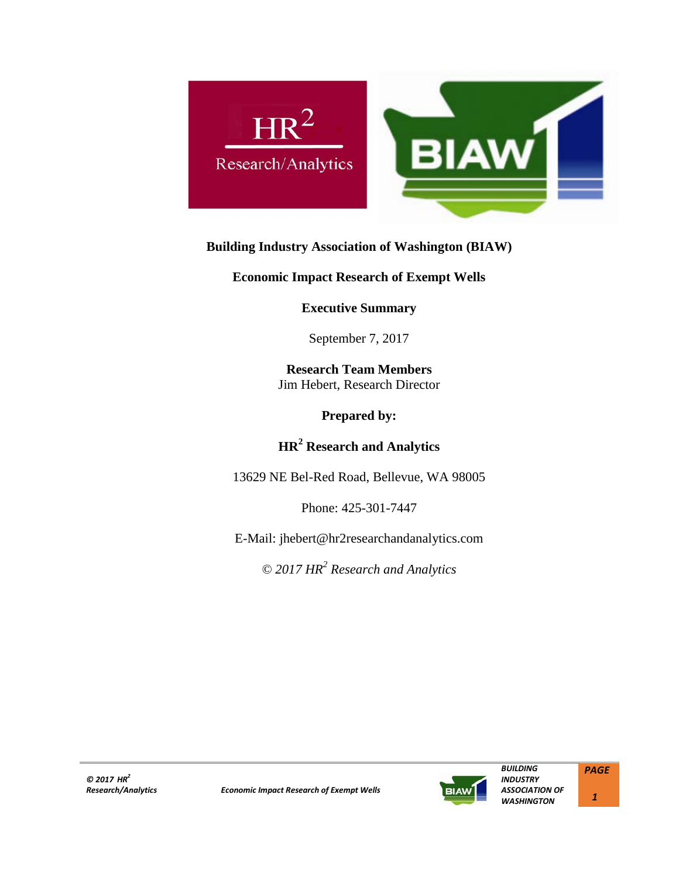

# **Building Industry Association of Washington (BIAW)**

**Economic Impact Research of Exempt Wells**

**Executive Summary** 

September 7, 2017

**Research Team Members** Jim Hebert, Research Director

**Prepared by:**

**HR2 Research and Analytics**

13629 NE Bel-Red Road, Bellevue, WA 98005

Phone: 425-301-7447

E-Mail: jhebert@hr2researchandanalytics.com

*© 2017 HR2 Research and Analytics*

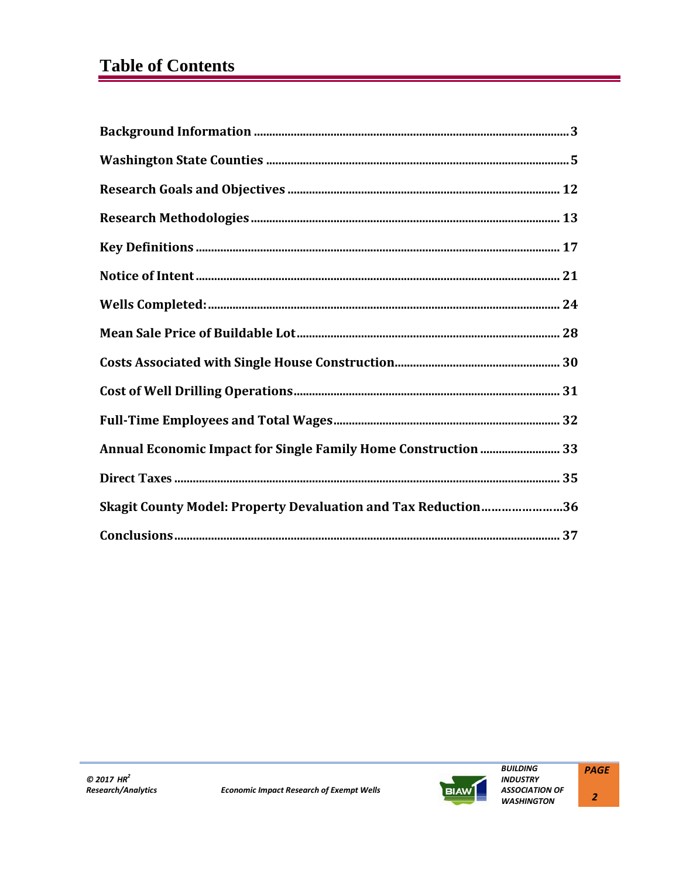# **Table of Contents**

| Annual Economic Impact for Single Family Home Construction  33 |
|----------------------------------------------------------------|
|                                                                |
| Skagit County Model: Property Devaluation and Tax Reduction36  |
|                                                                |

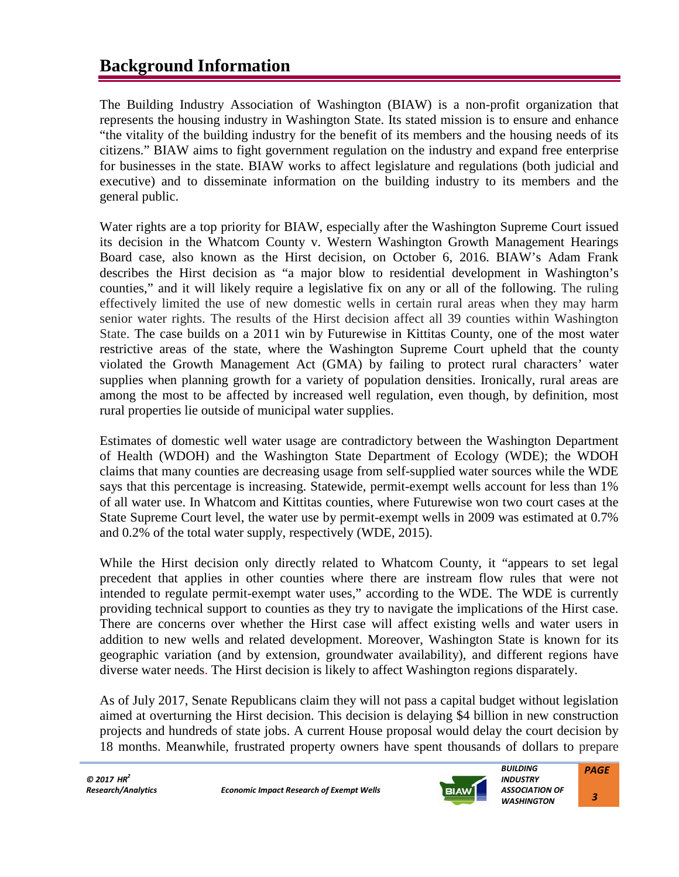# **Background Information**

The Building Industry Association of Washington (BIAW) is a non-profit organization that represents the housing industry in Washington State. Its stated mission is to ensure and enhance "the vitality of the building industry for the benefit of its members and the housing needs of its citizens." BIAW aims to fight government regulation on the industry and expand free enterprise for businesses in the state. BIAW works to affect legislature and regulations (both judicial and executive) and to disseminate information on the building industry to its members and the general public.

Water rights are a top priority for BIAW, especially after the Washington Supreme Court issued its decision in the Whatcom County v. Western Washington Growth Management Hearings Board case, also known as the Hirst decision, on October 6, 2016. BIAW's Adam Frank describes the Hirst decision as "a major blow to residential development in Washington's counties," and it will likely require a legislative fix on any or all of the following. The ruling effectively limited the use of new domestic wells in certain rural areas when they may harm senior water rights. The results of the Hirst decision affect all 39 counties within Washington State. The case builds on a 2011 win by Futurewise in Kittitas County, one of the most water restrictive areas of the state, where the Washington Supreme Court upheld that the county violated the Growth Management Act (GMA) by failing to protect rural characters' water supplies when planning growth for a variety of population densities. Ironically, rural areas are among the most to be affected by increased well regulation, even though, by definition, most rural properties lie outside of municipal water supplies.

Estimates of domestic well water usage are contradictory between the Washington Department of Health (WDOH) and the Washington State Department of Ecology (WDE); the WDOH claims that many counties are decreasing usage from self-supplied water sources while the WDE says that this percentage is increasing. Statewide, permit-exempt wells account for less than 1% of all water use. In Whatcom and Kittitas counties, where Futurewise won two court cases at the State Supreme Court level, the water use by permit-exempt wells in 2009 was estimated at 0.7% and 0.2% of the total water supply, respectively (WDE, 2015).

While the Hirst decision only directly related to Whatcom County, it "appears to set legal precedent that applies in other counties where there are instream flow rules that were not intended to regulate permit-exempt water uses," according to the WDE. The WDE is currently providing technical support to counties as they try to navigate the implications of the Hirst case. There are concerns over whether the Hirst case will affect existing wells and water users in addition to new wells and related development. Moreover, Washington State is known for its geographic variation (and by extension, groundwater availability), and different regions have diverse water needs. The Hirst decision is likely to affect Washington regions disparately.

As of July 2017, Senate Republicans claim they will not pass a capital budget without legislation aimed at overturning the Hirst decision. This decision is delaying \$4 billion in new construction projects and hundreds of state jobs. A current House proposal would delay the court decision by 18 months. Meanwhile, frustrated property owners have spent thousands of dollars to prepare



 *3*

*PAGE*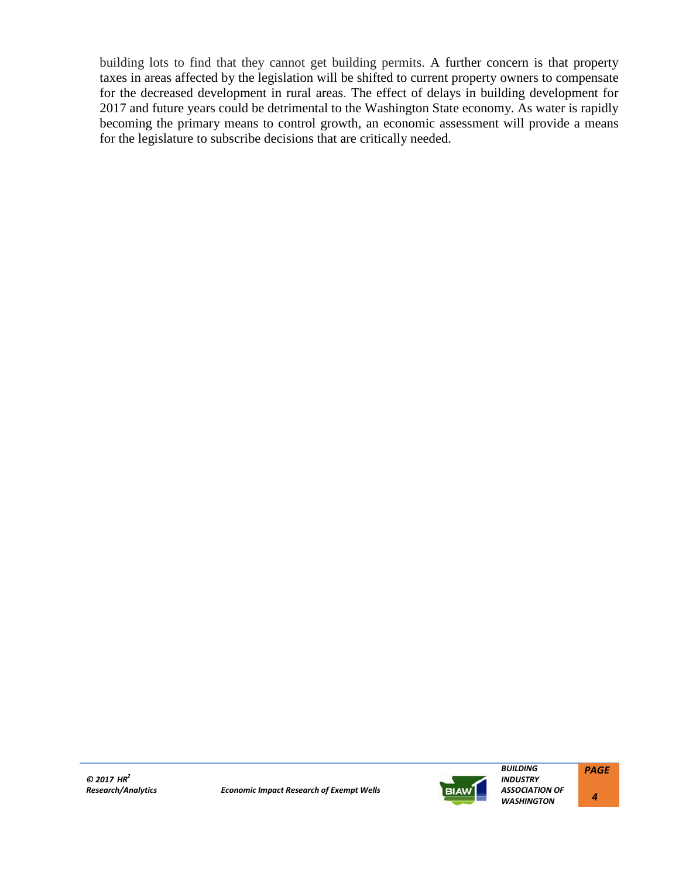building lots to find that they cannot get building permits. A further concern is that property taxes in areas affected by the legislation will be shifted to current property owners to compensate for the decreased development in rural areas. The effect of delays in building development for 2017 and future years could be detrimental to the Washington State economy. As water is rapidly becoming the primary means to control growth, an economic assessment will provide a means for the legislature to subscribe decisions that are critically needed.

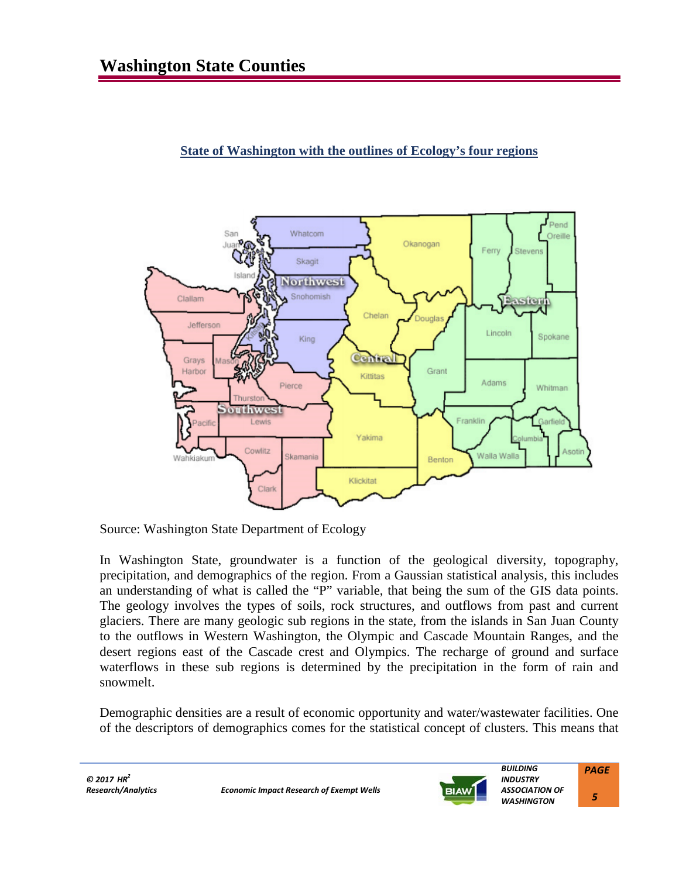# **State of Washington with the outlines of Ecology's four regions**



Source: Washington State Department of Ecology

In Washington State, groundwater is a function of the geological diversity, topography, precipitation, and demographics of the region. From a Gaussian statistical analysis, this includes an understanding of what is called the "P" variable, that being the sum of the GIS data points. The geology involves the types of soils, rock structures, and outflows from past and current glaciers. There are many geologic sub regions in the state, from the islands in San Juan County to the outflows in Western Washington, the Olympic and Cascade Mountain Ranges, and the desert regions east of the Cascade crest and Olympics. The recharge of ground and surface waterflows in these sub regions is determined by the precipitation in the form of rain and snowmelt.

Demographic densities are a result of economic opportunity and water/wastewater facilities. One of the descriptors of demographics comes for the statistical concept of clusters. This means that

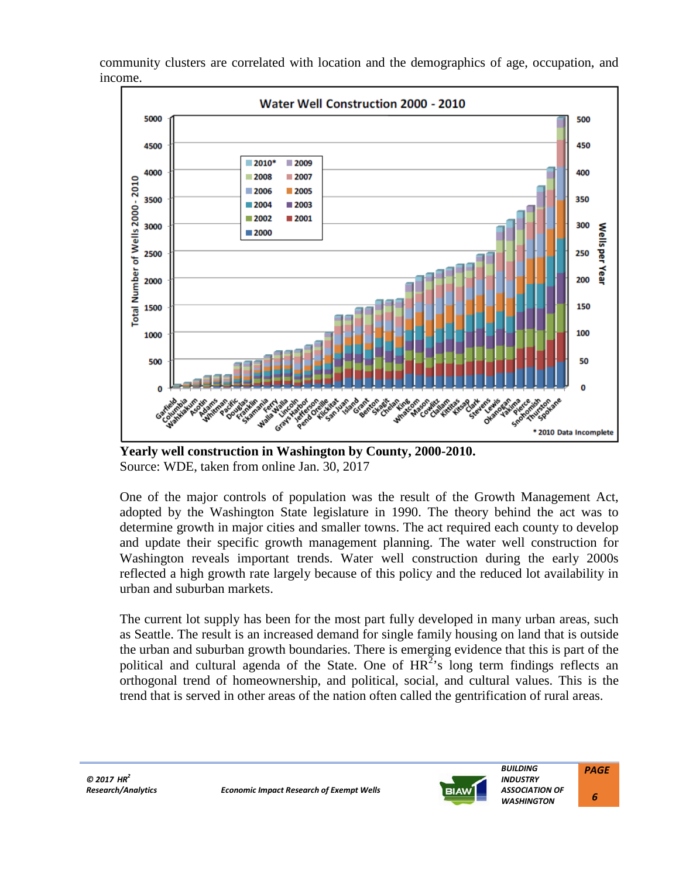community clusters are correlated with location and the demographics of age, occupation, and income.



**Yearly well construction in Washington by County, 2000-2010.**  Source: WDE, taken from online Jan. 30, 2017

One of the major controls of population was the result of the Growth Management Act, adopted by the Washington State legislature in 1990. The theory behind the act was to determine growth in major cities and smaller towns. The act required each county to develop and update their specific growth management planning. The water well construction for Washington reveals important trends. Water well construction during the early 2000s reflected a high growth rate largely because of this policy and the reduced lot availability in urban and suburban markets.

The current lot supply has been for the most part fully developed in many urban areas, such as Seattle. The result is an increased demand for single family housing on land that is outside the urban and suburban growth boundaries. There is emerging evidence that this is part of the political and cultural agenda of the State. One of  $HR^2$ 's long term findings reflects an orthogonal trend of homeownership, and political, social, and cultural values. This is the trend that is served in other areas of the nation often called the gentrification of rural areas.



*ASSOCIATION OF WASHINGTON PAGE*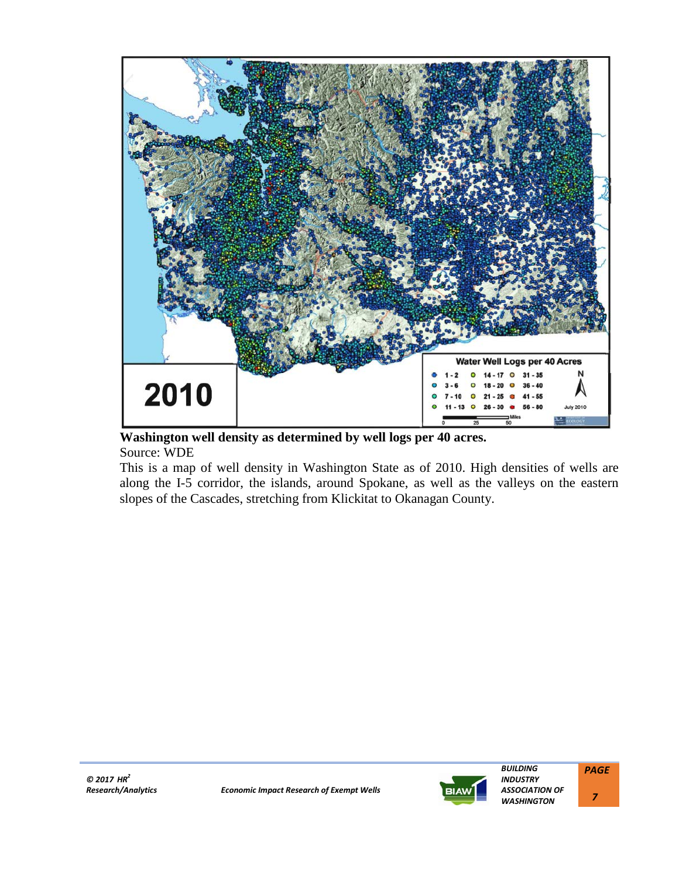

**Washington well density as determined by well logs per 40 acres.** Source: WDE

This is a map of well density in Washington State as of 2010. High densities of wells are along the I-5 corridor, the islands, around Spokane, as well as the valleys on the eastern slopes of the Cascades, stretching from Klickitat to Okanagan County.



 *7*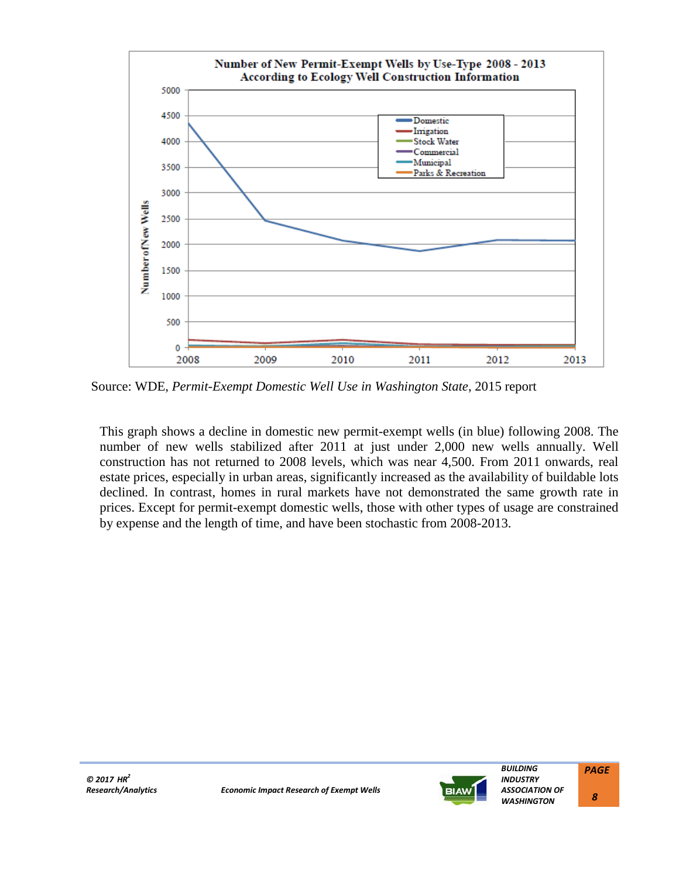

Source: WDE, *Permit-Exempt Domestic Well Use in Washington State*, 2015 report

This graph shows a decline in domestic new permit-exempt wells (in blue) following 2008. The number of new wells stabilized after 2011 at just under 2,000 new wells annually. Well construction has not returned to 2008 levels, which was near 4,500. From 2011 onwards, real estate prices, especially in urban areas, significantly increased as the availability of buildable lots declined. In contrast, homes in rural markets have not demonstrated the same growth rate in prices. Except for permit-exempt domestic wells, those with other types of usage are constrained by expense and the length of time, and have been stochastic from 2008-2013.



 *8*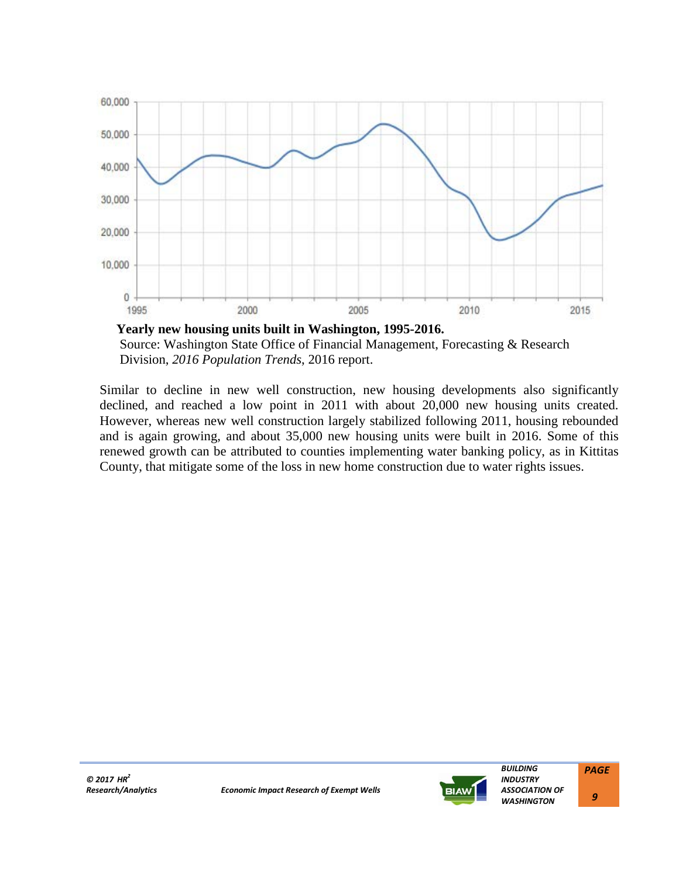

Source: Washington State Office of Financial Management, Forecasting & Research Division, *2016 Population Trends*, 2016 report.

Similar to decline in new well construction, new housing developments also significantly declined, and reached a low point in 2011 with about 20,000 new housing units created. However, whereas new well construction largely stabilized following 2011, housing rebounded and is again growing, and about 35,000 new housing units were built in 2016. Some of this renewed growth can be attributed to counties implementing water banking policy, as in Kittitas County, that mitigate some of the loss in new home construction due to water rights issues.



*PAGE 9*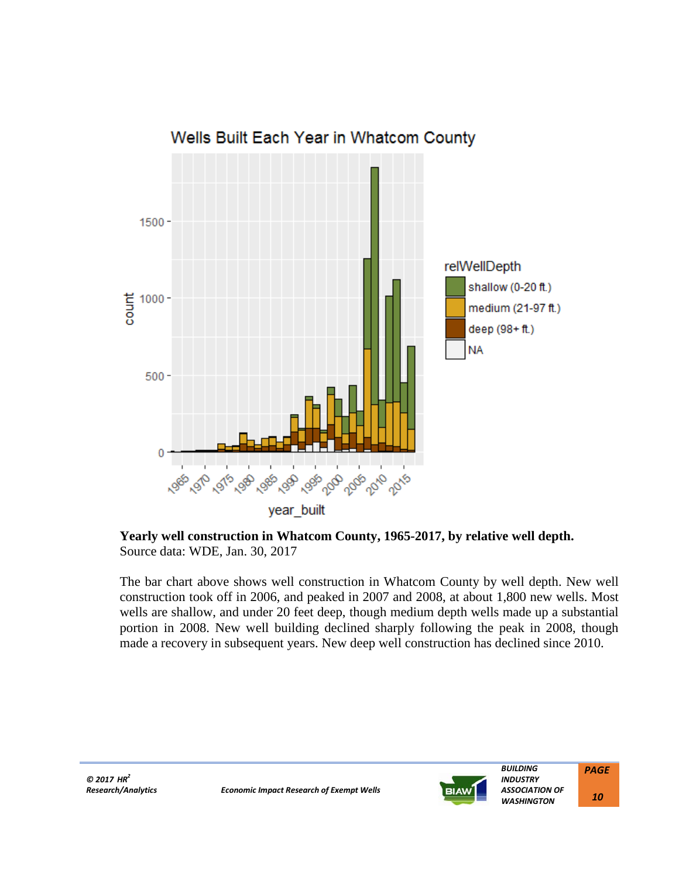

# Wells Built Each Year in Whatcom County

**Yearly well construction in Whatcom County, 1965-2017, by relative well depth.** Source data: WDE, Jan. 30, 2017

The bar chart above shows well construction in Whatcom County by well depth. New well construction took off in 2006, and peaked in 2007 and 2008, at about 1,800 new wells. Most wells are shallow, and under 20 feet deep, though medium depth wells made up a substantial portion in 2008. New well building declined sharply following the peak in 2008, though made a recovery in subsequent years. New deep well construction has declined since 2010.



 *BUILDING INDUSTRY ASSOCIATION OF WASHINGTON PAGE 10*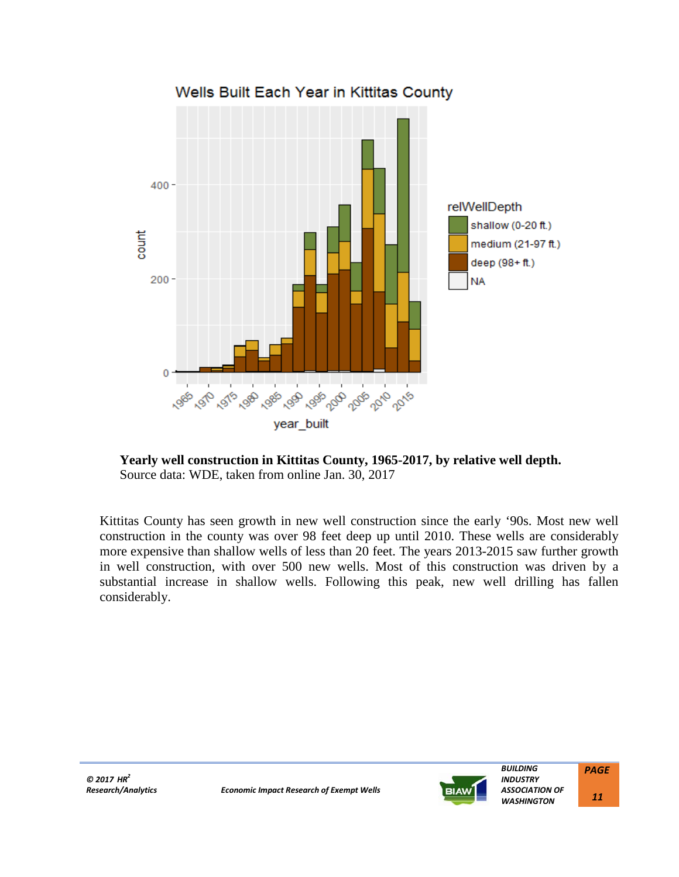

# **Yearly well construction in Kittitas County, 1965-2017, by relative well depth.** Source data: WDE, taken from online Jan. 30, 2017

Kittitas County has seen growth in new well construction since the early '90s. Most new well construction in the county was over 98 feet deep up until 2010. These wells are considerably more expensive than shallow wells of less than 20 feet. The years 2013-2015 saw further growth in well construction, with over 500 new wells. Most of this construction was driven by a substantial increase in shallow wells. Following this peak, new well drilling has fallen considerably.



*BUILDING*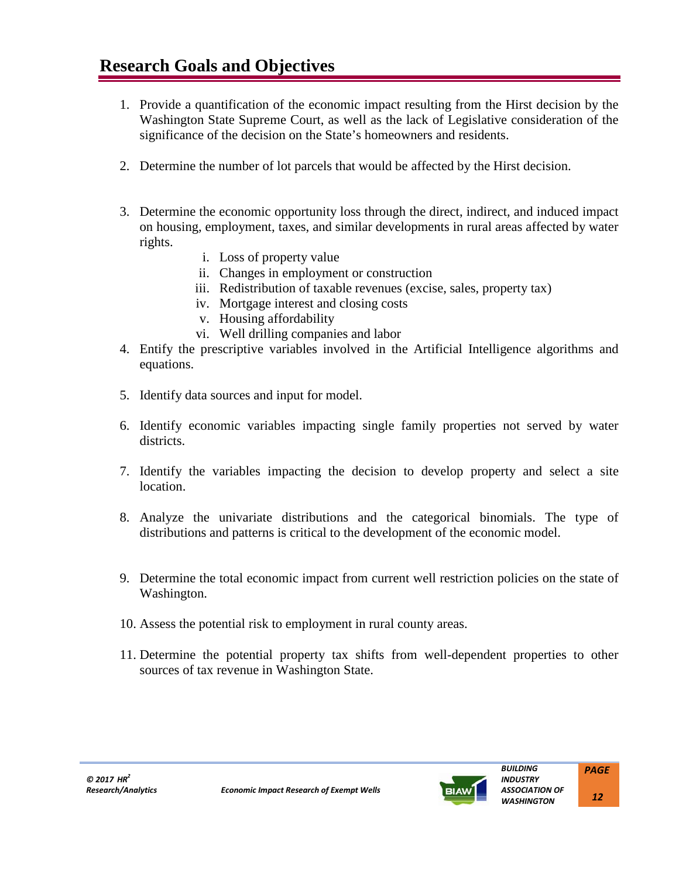- 1. Provide a quantification of the economic impact resulting from the Hirst decision by the Washington State Supreme Court, as well as the lack of Legislative consideration of the significance of the decision on the State's homeowners and residents.
- 2. Determine the number of lot parcels that would be affected by the Hirst decision.
- 3. Determine the economic opportunity loss through the direct, indirect, and induced impact on housing, employment, taxes, and similar developments in rural areas affected by water rights.
	- i. Loss of property value
	- ii. Changes in employment or construction
	- iii. Redistribution of taxable revenues (excise, sales, property tax)
	- iv. Mortgage interest and closing costs
	- v. Housing affordability
	- vi. Well drilling companies and labor
- 4. Entify the prescriptive variables involved in the Artificial Intelligence algorithms and equations.
- 5. Identify data sources and input for model.
- 6. Identify economic variables impacting single family properties not served by water districts.
- 7. Identify the variables impacting the decision to develop property and select a site location.
- 8. Analyze the univariate distributions and the categorical binomials. The type of distributions and patterns is critical to the development of the economic model.
- 9. Determine the total economic impact from current well restriction policies on the state of Washington.
- 10. Assess the potential risk to employment in rural county areas.
- 11. Determine the potential property tax shifts from well-dependent properties to other sources of tax revenue in Washington State.

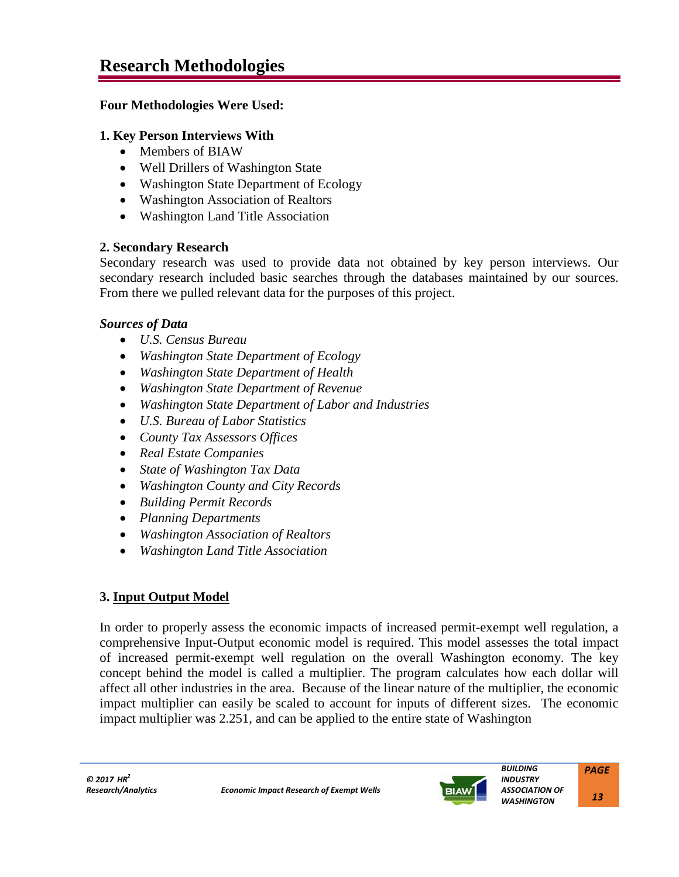# **Four Methodologies Were Used:**

# **1. Key Person Interviews With**

- Members of BIAW
- Well Drillers of Washington State
- Washington State Department of Ecology
- Washington Association of Realtors
- Washington Land Title Association

# **2. Secondary Research**

Secondary research was used to provide data not obtained by key person interviews. Our secondary research included basic searches through the databases maintained by our sources. From there we pulled relevant data for the purposes of this project.

# *Sources of Data*

- *U.S. Census Bureau*
- *Washington State Department of Ecology*
- *Washington State Department of Health*
- *Washington State Department of Revenue*
- *Washington State Department of Labor and Industries*
- *U.S. Bureau of Labor Statistics*
- *County Tax Assessors Offices*
- *Real Estate Companies*
- *State of Washington Tax Data*
- *Washington County and City Records*
- *Building Permit Records*
- *Planning Departments*
- *Washington Association of Realtors*
- *Washington Land Title Association*

# **3. Input Output Model**

In order to properly assess the economic impacts of increased permit-exempt well regulation, a comprehensive Input-Output economic model is required. This model assesses the total impact of increased permit-exempt well regulation on the overall Washington economy. The key concept behind the model is called a multiplier. The program calculates how each dollar will affect all other industries in the area. Because of the linear nature of the multiplier, the economic impact multiplier can easily be scaled to account for inputs of different sizes. The economic impact multiplier was 2.251, and can be applied to the entire state of Washington

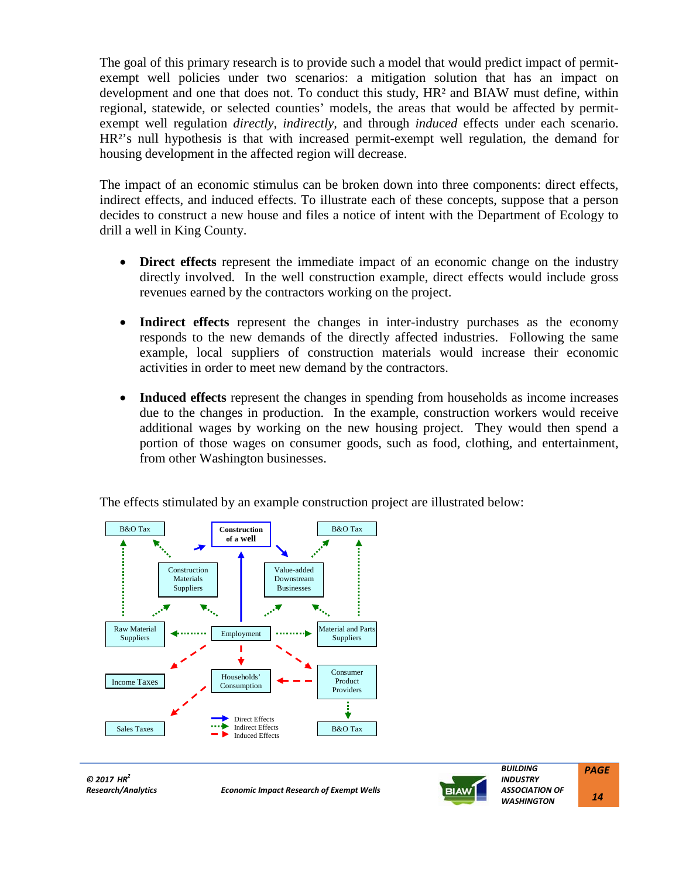The goal of this primary research is to provide such a model that would predict impact of permitexempt well policies under two scenarios: a mitigation solution that has an impact on development and one that does not. To conduct this study,  $HR<sup>2</sup>$  and BIAW must define, within regional, statewide, or selected counties' models, the areas that would be affected by permitexempt well regulation *directly, indirectly,* and through *induced* effects under each scenario. HR<sup>2</sup>'s null hypothesis is that with increased permit-exempt well regulation, the demand for housing development in the affected region will decrease.

The impact of an economic stimulus can be broken down into three components: direct effects, indirect effects, and induced effects. To illustrate each of these concepts, suppose that a person decides to construct a new house and files a notice of intent with the Department of Ecology to drill a well in King County.

- **Direct effects** represent the immediate impact of an economic change on the industry directly involved. In the well construction example, direct effects would include gross revenues earned by the contractors working on the project.
- **Indirect effects** represent the changes in inter-industry purchases as the economy responds to the new demands of the directly affected industries. Following the same example, local suppliers of construction materials would increase their economic activities in order to meet new demand by the contractors.
- **Induced effects** represent the changes in spending from households as income increases due to the changes in production. In the example, construction workers would receive additional wages by working on the new housing project. They would then spend a portion of those wages on consumer goods, such as food, clothing, and entertainment, from other Washington businesses.



The effects stimulated by an example construction project are illustrated below:

*© 2017 HR<sup>2</sup>*

*Research/Analytics Economic Impact Research of Exempt Wells*



 *BUILDING INDUSTRY ASSOCIATION OF WASHINGTON PAGE 14*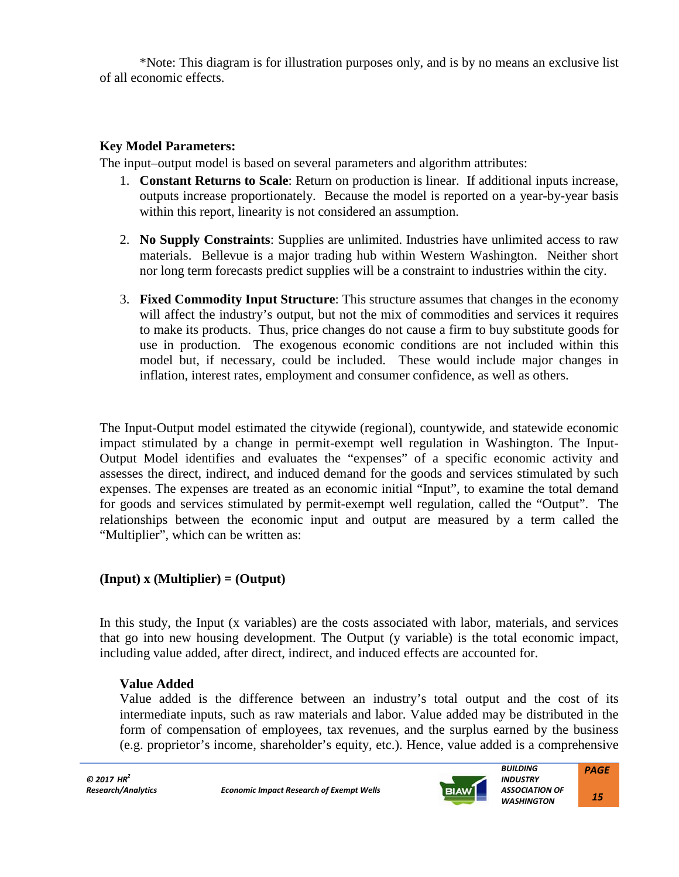\*Note: This diagram is for illustration purposes only, and is by no means an exclusive list of all economic effects.

# **Key Model Parameters:**

The input–output model is based on several parameters and algorithm attributes:

- 1. **Constant Returns to Scale**: Return on production is linear. If additional inputs increase, outputs increase proportionately. Because the model is reported on a year-by-year basis within this report, linearity is not considered an assumption.
- 2. **No Supply Constraints**: Supplies are unlimited. Industries have unlimited access to raw materials. Bellevue is a major trading hub within Western Washington. Neither short nor long term forecasts predict supplies will be a constraint to industries within the city.
- 3. **Fixed Commodity Input Structure**: This structure assumes that changes in the economy will affect the industry's output, but not the mix of commodities and services it requires to make its products. Thus, price changes do not cause a firm to buy substitute goods for use in production. The exogenous economic conditions are not included within this model but, if necessary, could be included. These would include major changes in inflation, interest rates, employment and consumer confidence, as well as others.

The Input-Output model estimated the citywide (regional), countywide, and statewide economic impact stimulated by a change in permit-exempt well regulation in Washington. The Input-Output Model identifies and evaluates the "expenses" of a specific economic activity and assesses the direct, indirect, and induced demand for the goods and services stimulated by such expenses. The expenses are treated as an economic initial "Input", to examine the total demand for goods and services stimulated by permit-exempt well regulation, called the "Output". The relationships between the economic input and output are measured by a term called the "Multiplier", which can be written as:

# **(Input) x (Multiplier) = (Output)**

In this study, the Input (x variables) are the costs associated with labor, materials, and services that go into new housing development. The Output (y variable) is the total economic impact, including value added, after direct, indirect, and induced effects are accounted for.

# **Value Added**

Value added is the difference between an industry's total output and the cost of its intermediate inputs, such as raw materials and labor. Value added may be distributed in the form of compensation of employees, tax revenues, and the surplus earned by the business (e.g. proprietor's income, shareholder's equity, etc.). Hence, value added is a comprehensive

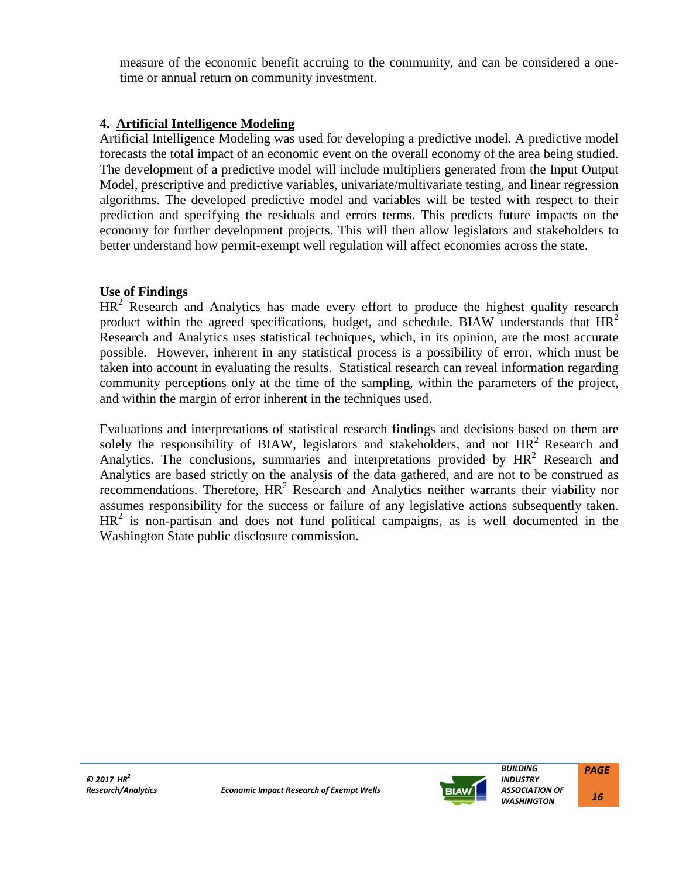measure of the economic benefit accruing to the community, and can be considered a onetime or annual return on community investment.

# **4. Artificial Intelligence Modeling**

Artificial Intelligence Modeling was used for developing a predictive model. A predictive model forecasts the total impact of an economic event on the overall economy of the area being studied. The development of a predictive model will include multipliers generated from the Input Output Model, prescriptive and predictive variables, univariate/multivariate testing, and linear regression algorithms. The developed predictive model and variables will be tested with respect to their prediction and specifying the residuals and errors terms. This predicts future impacts on the economy for further development projects. This will then allow legislators and stakeholders to better understand how permit-exempt well regulation will affect economies across the state.

# **Use of Findings**

 $HR<sup>2</sup>$  Research and Analytics has made every effort to produce the highest quality research product within the agreed specifications, budget, and schedule. BIAW understands that  $HR<sup>2</sup>$ Research and Analytics uses statistical techniques, which, in its opinion, are the most accurate possible. However, inherent in any statistical process is a possibility of error, which must be taken into account in evaluating the results. Statistical research can reveal information regarding community perceptions only at the time of the sampling, within the parameters of the project, and within the margin of error inherent in the techniques used.

Evaluations and interpretations of statistical research findings and decisions based on them are solely the responsibility of BIAW, legislators and stakeholders, and not  $HR<sup>2</sup>$  Research and Analytics. The conclusions, summaries and interpretations provided by  $HR<sup>2</sup>$  Research and Analytics are based strictly on the analysis of the data gathered, and are not to be construed as recommendations. Therefore,  $HR^2$  Research and Analytics neither warrants their viability nor assumes responsibility for the success or failure of any legislative actions subsequently taken.  $HR<sup>2</sup>$  is non-partisan and does not fund political campaigns, as is well documented in the Washington State public disclosure commission.



 *BUILDING INDUSTRY ASSOCIATION OF WASHINGTON PAGE 16*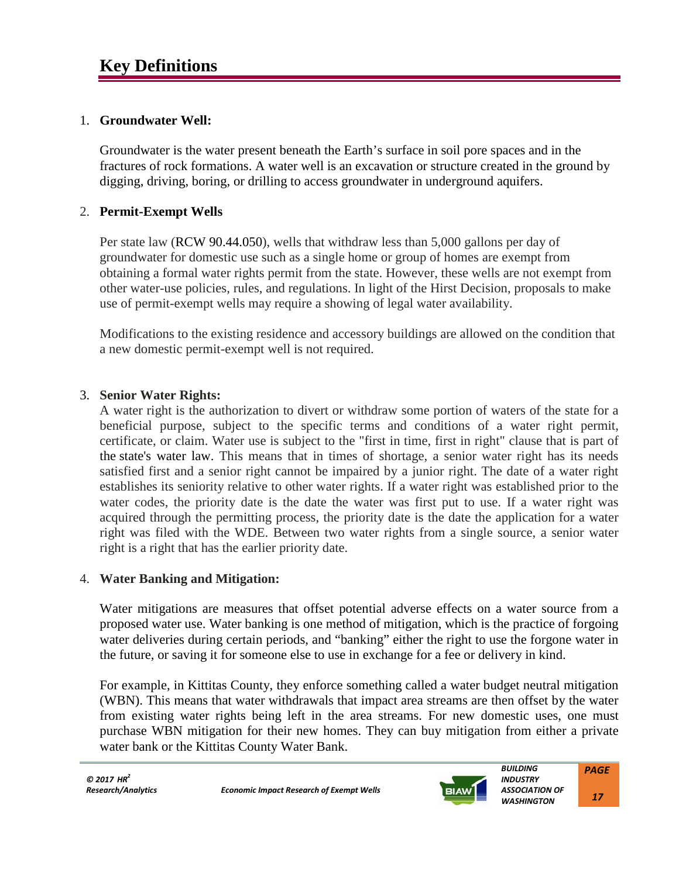# 1. **Groundwater Well:**

Groundwater is the water present beneath the Earth's surface in soil pore spaces and in the fractures of rock formations. A water well is an excavation or structure created in the ground by digging, driving, boring, or drilling to access groundwater in underground aquifers.

# 2. **Permit-Exempt Wells**

Per state law (RCW 90.44.050), wells that withdraw less than 5,000 gallons per day of groundwater for domestic use such as a single home or group of homes are exempt from obtaining a formal water rights permit from the state. However, these wells are not exempt from other water-use policies, rules, and regulations. In light of the Hirst Decision, proposals to make use of permit-exempt wells may require a showing of legal water availability.

Modifications to the existing residence and accessory buildings are allowed on the condition that a new domestic permit-exempt well is not required.

# 3. **Senior Water Rights:**

A water right is the authorization to divert or withdraw some portion of waters of the state for a beneficial purpose, subject to the specific terms and conditions of a water right permit, certificate, or claim. Water use is subject to the "first in time, first in right" clause that is part of the state's water law. This means that in times of shortage, a senior water right has its needs satisfied first and a senior right cannot be impaired by a junior right. The date of a water right establishes its seniority relative to other water rights. If a water right was established prior to the water codes, the priority date is the date the water was first put to use. If a water right was acquired through the permitting process, the priority date is the date the application for a water right was filed with the WDE. Between two water rights from a single source, a senior water right is a right that has the earlier priority date.

#### 4. **Water Banking and Mitigation:**

Water mitigations are measures that offset potential adverse effects on a water source from a proposed water use. Water banking is one method of mitigation, which is the practice of forgoing water deliveries during certain periods, and "banking" either the right to use the forgone water in the future, or saving it for someone else to use in exchange for a fee or delivery in kind.

For example, in Kittitas County, they enforce something called a water budget neutral mitigation (WBN). This means that water withdrawals that impact area streams are then offset by the water from existing water rights being left in the area streams. For new domestic uses, one must purchase WBN mitigation for their new homes. They can buy mitigation from either a private water bank or the Kittitas County Water Bank.



 *17*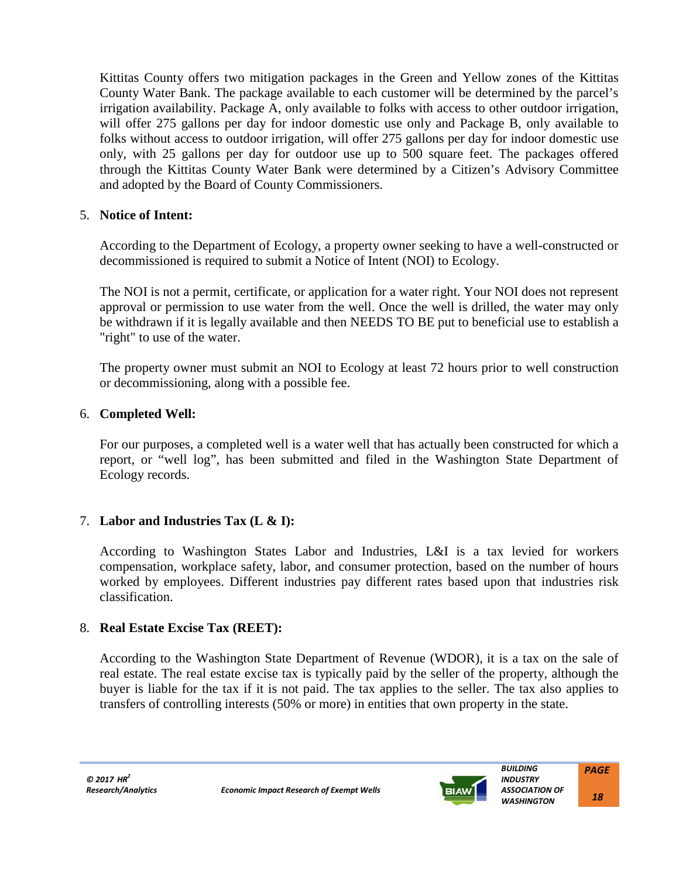Kittitas County offers two mitigation packages in the Green and Yellow zones of the Kittitas County Water Bank. The package available to each customer will be determined by the parcel's irrigation availability. Package A, only available to folks with access to other outdoor irrigation, will offer 275 gallons per day for indoor domestic use only and Package B, only available to folks without access to outdoor irrigation, will offer 275 gallons per day for indoor domestic use only, with 25 gallons per day for outdoor use up to 500 square feet. The packages offered through the Kittitas County Water Bank were determined by a Citizen's Advisory Committee and adopted by the Board of County Commissioners.

# 5. **Notice of Intent:**

According to the Department of Ecology, a property owner seeking to have a well-constructed or decommissioned is required to submit a Notice of Intent (NOI) to Ecology.

The NOI is not a permit, certificate, or application for a water right. Your NOI does not represent approval or permission to use water from the well. Once the well is drilled, the water may only be withdrawn if it is legally available and then NEEDS TO BE put to beneficial use to establish a "right" to use of the water.

The property owner must submit an NOI to Ecology at least 72 hours prior to well construction or decommissioning, along with a possible fee.

# 6. **Completed Well:**

For our purposes, a completed well is a water well that has actually been constructed for which a report, or "well log", has been submitted and filed in the Washington State Department of Ecology records.

# 7. **Labor and Industries Tax (L & I):**

According to Washington States Labor and Industries, L&I is a tax levied for workers compensation, workplace safety, labor, and consumer protection, based on the number of hours worked by employees. Different industries pay different rates based upon that industries risk classification.

# 8. **Real Estate Excise Tax (REET):**

According to the Washington State Department of Revenue (WDOR), it is a tax on the sale of real estate. The real estate excise tax is typically paid by the seller of the property, although the buyer is liable for the tax if it is not paid. The tax applies to the seller. The tax also applies to transfers of controlling interests (50% or more) in entities that own property in the state.

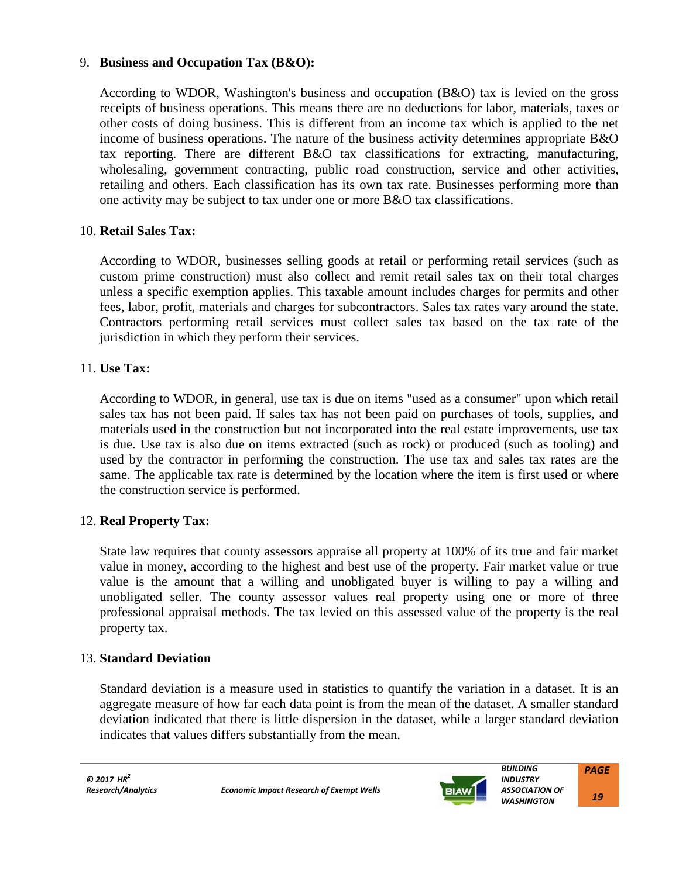# 9. **Business and Occupation Tax (B&O):**

According to WDOR, Washington's business and occupation (B&O) tax is levied on the gross receipts of business operations. This means there are no deductions for labor, materials, taxes or other costs of doing business. This is different from an income tax which is applied to the net income of business operations. The nature of the business activity determines appropriate B&O tax reporting. There are different B&O tax classifications for extracting, manufacturing, wholesaling, government contracting, public road construction, service and other activities, retailing and others. Each classification has its own tax rate. Businesses performing more than one activity may be subject to tax under one or more B&O tax classifications.

#### 10. **Retail Sales Tax:**

According to WDOR, businesses selling goods at retail or performing retail services (such as custom prime construction) must also collect and remit retail sales tax on their total charges unless a specific exemption applies. This taxable amount includes charges for permits and other fees, labor, profit, materials and charges for subcontractors. Sales tax rates vary around the state. Contractors performing retail services must collect sales tax based on the tax rate of the jurisdiction in which they perform their services.

#### 11. **Use Tax:**

According to WDOR, in general, use tax is due on items "used as a consumer" upon which retail sales tax has not been paid. If sales tax has not been paid on purchases of tools, supplies, and materials used in the construction but not incorporated into the real estate improvements, use tax is due. Use tax is also due on items extracted (such as rock) or produced (such as tooling) and used by the contractor in performing the construction. The use tax and sales tax rates are the same. The applicable tax rate is determined by the location where the item is first used or where the construction service is performed.

# 12. **Real Property Tax:**

State law requires that county assessors appraise all property at 100% of its true and fair market value in money, according to the highest and best use of the property. Fair market value or true value is the amount that a willing and unobligated buyer is willing to pay a willing and unobligated seller. The county assessor values real property using one or more of three professional appraisal methods. The tax levied on this assessed value of the property is the real property tax.

# 13. **Standard Deviation**

Standard deviation is a measure used in statistics to quantify the variation in a dataset. It is an aggregate measure of how far each data point is from the mean of the dataset. A smaller standard deviation indicated that there is little dispersion in the dataset, while a larger standard deviation indicates that values differs substantially from the mean.



 *19*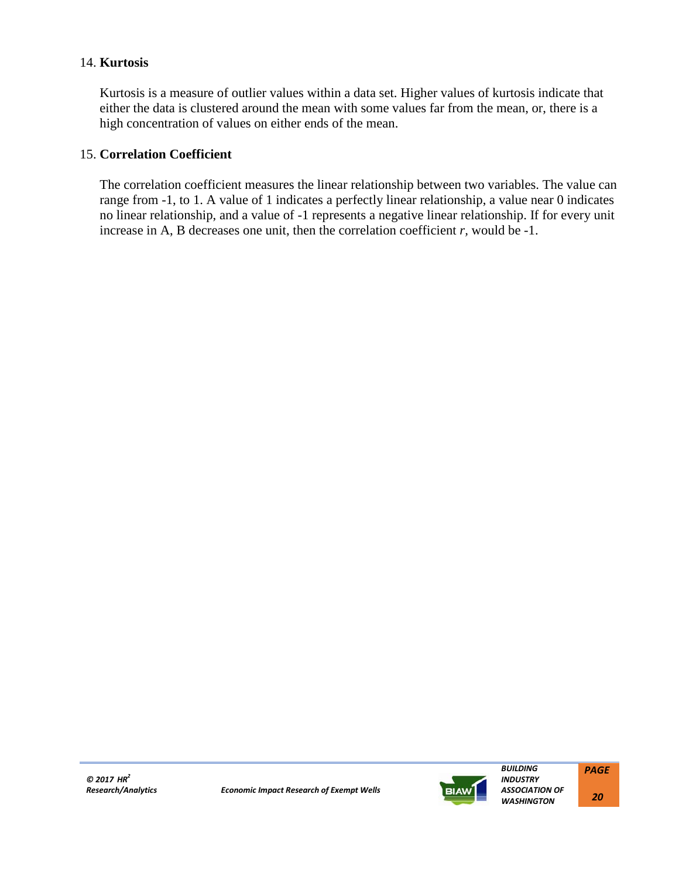#### 14. **Kurtosis**

Kurtosis is a measure of outlier values within a data set. Higher values of kurtosis indicate that either the data is clustered around the mean with some values far from the mean, or, there is a high concentration of values on either ends of the mean.

# 15. **Correlation Coefficient**

The correlation coefficient measures the linear relationship between two variables. The value can range from -1, to 1. A value of 1 indicates a perfectly linear relationship, a value near 0 indicates no linear relationship, and a value of -1 represents a negative linear relationship. If for every unit increase in A, B decreases one unit, then the correlation coefficient *r,* would be -1.

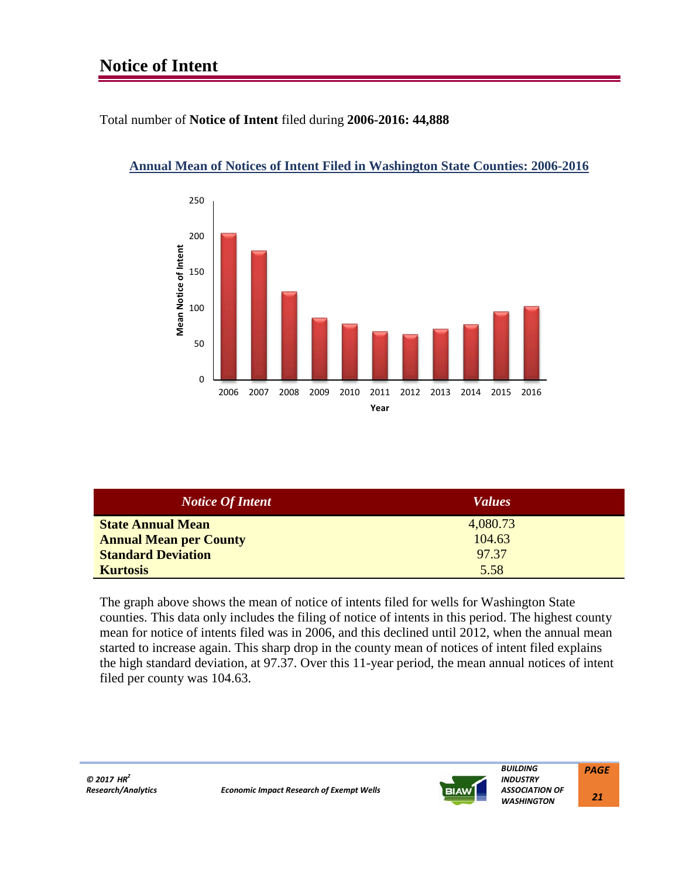# **Notice of Intent**

# Total number of **Notice of Intent** filed during **2006-2016: 44,888**



# **Annual Mean of Notices of Intent Filed in Washington State Counties: 2006-2016**

| <b>Notice Of Intent</b>       | <i>Values</i> |
|-------------------------------|---------------|
| <b>State Annual Mean</b>      | 4,080.73      |
| <b>Annual Mean per County</b> | 104.63        |
| <b>Standard Deviation</b>     | 97.37         |
| <b>Kurtosis</b>               | 5.58          |

The graph above shows the mean of notice of intents filed for wells for Washington State counties. This data only includes the filing of notice of intents in this period. The highest county mean for notice of intents filed was in 2006, and this declined until 2012, when the annual mean started to increase again. This sharp drop in the county mean of notices of intent filed explains the high standard deviation, at 97.37. Over this 11-year period, the mean annual notices of intent filed per county was 104.63.



 *BUILDING INDUSTRY*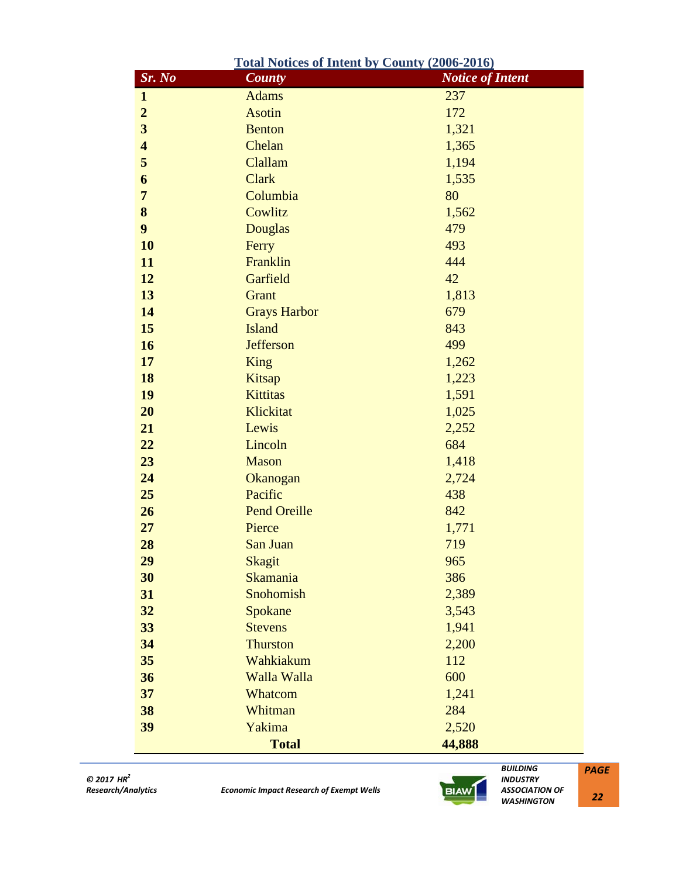| <b>Total Notices of Intent by County (2006-2016)</b> |                     |                         |
|------------------------------------------------------|---------------------|-------------------------|
| Sr. No                                               | <b>County</b>       | <b>Notice of Intent</b> |
| $\mathbf{1}$                                         | <b>Adams</b>        | 237                     |
| $\overline{2}$                                       | <b>Asotin</b>       | 172                     |
| 3                                                    | <b>Benton</b>       | 1,321                   |
| $\overline{\mathbf{4}}$                              | Chelan              | 1,365                   |
| 5                                                    | Clallam             | 1,194                   |
| 6                                                    | <b>Clark</b>        | 1,535                   |
| $\overline{7}$                                       | Columbia            | 80                      |
| 8                                                    | Cowlitz             | 1,562                   |
| $\boldsymbol{9}$                                     | <b>Douglas</b>      | 479                     |
| 10                                                   | Ferry               | 493                     |
| 11                                                   | Franklin            | 444                     |
| 12                                                   | Garfield            | 42                      |
| 13                                                   | Grant               | 1,813                   |
| 14                                                   | <b>Grays Harbor</b> | 679                     |
| 15                                                   | <b>Island</b>       | 843                     |
| <b>16</b>                                            | <b>Jefferson</b>    | 499                     |
| 17                                                   | <b>King</b>         | 1,262                   |
| 18                                                   | Kitsap              | 1,223                   |
| 19                                                   | <b>Kittitas</b>     | 1,591                   |
| 20                                                   | Klickitat           | 1,025                   |
| 21                                                   | Lewis               | 2,252                   |
| 22                                                   | Lincoln             | 684                     |
| 23                                                   | <b>Mason</b>        | 1,418                   |
| 24                                                   | Okanogan            | 2,724                   |
| 25                                                   | Pacific             | 438                     |
| 26                                                   | <b>Pend Oreille</b> | 842                     |
| 27                                                   | Pierce              | 1,771                   |
| 28                                                   | San Juan            | 719                     |
| 29                                                   | Skagit              | 965                     |
| 30                                                   | <b>Skamania</b>     | 386                     |
| 31                                                   | Snohomish           | 2,389                   |
| 32                                                   | Spokane             | 3,543                   |
| 33                                                   | <b>Stevens</b>      | 1,941                   |
| 34                                                   | <b>Thurston</b>     | 2,200                   |
| 35                                                   | Wahkiakum           | 112                     |
| 36                                                   | Walla Walla         | 600                     |
| 37                                                   | Whatcom             | 1,241                   |
| 38                                                   | Whitman             | 284                     |
| 39                                                   | Yakima              | 2,520                   |
|                                                      | <b>Total</b>        | 44,888                  |

*Research/Analytics Economic Impact Research of Exempt Wells*



 *BUILDING INDUSTRY ASSOCIATION OF WASHINGTON*

*PAGE*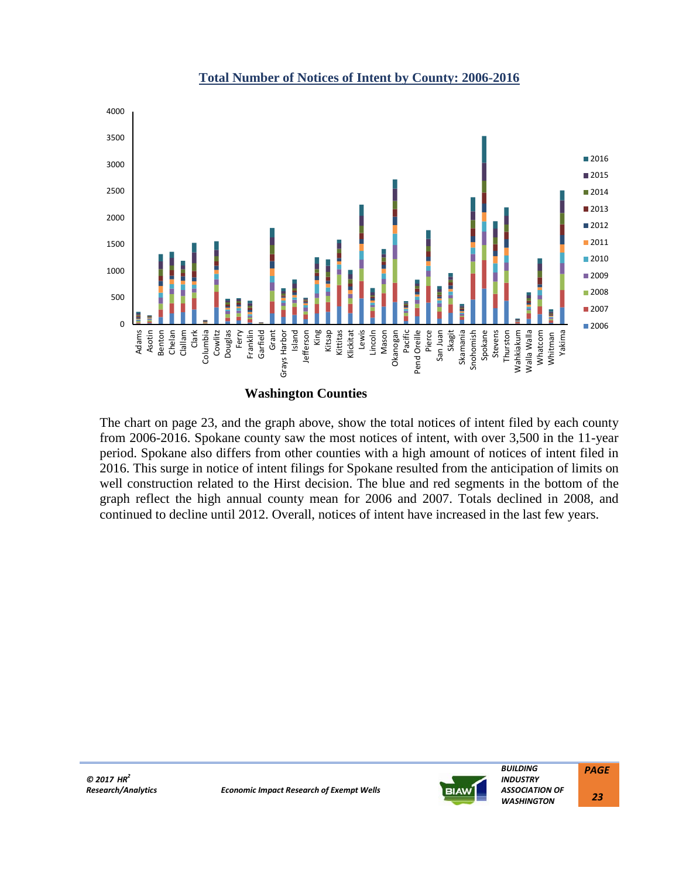

#### **Total Number of Notices of Intent by County: 2006-2016**

**Washington Counties**

The chart on page 23, and the graph above, show the total notices of intent filed by each county from 2006-2016. Spokane county saw the most notices of intent, with over 3,500 in the 11-year period. Spokane also differs from other counties with a high amount of notices of intent filed in 2016. This surge in notice of intent filings for Spokane resulted from the anticipation of limits on well construction related to the Hirst decision. The blue and red segments in the bottom of the graph reflect the high annual county mean for 2006 and 2007. Totals declined in 2008, and continued to decline until 2012. Overall, notices of intent have increased in the last few years.



 *BUILDING INDUSTRY ASSOCIATION OF WASHINGTON PAGE 23*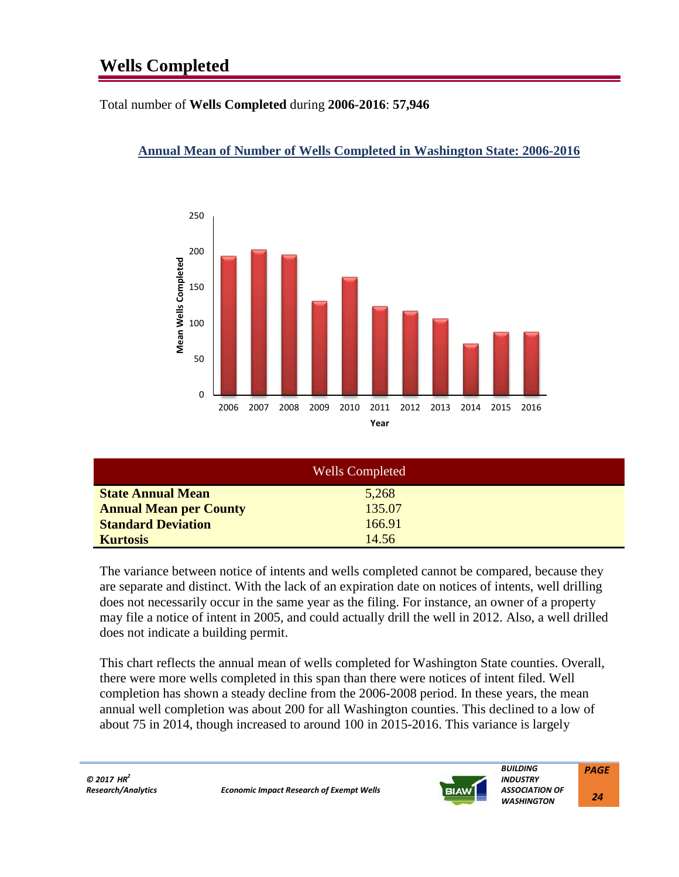# **Wells Completed**

Total number of **Wells Completed** during **2006-2016**: **57,946**

# **Annual Mean of Number of Wells Completed in Washington State: 2006-2016**



| <b>Wells Completed</b>        |        |  |
|-------------------------------|--------|--|
| <b>State Annual Mean</b>      | 5,268  |  |
| <b>Annual Mean per County</b> | 135.07 |  |
| <b>Standard Deviation</b>     | 166.91 |  |
| <b>Kurtosis</b>               | 14.56  |  |

The variance between notice of intents and wells completed cannot be compared, because they are separate and distinct. With the lack of an expiration date on notices of intents, well drilling does not necessarily occur in the same year as the filing. For instance, an owner of a property may file a notice of intent in 2005, and could actually drill the well in 2012. Also, a well drilled does not indicate a building permit.

This chart reflects the annual mean of wells completed for Washington State counties. Overall, there were more wells completed in this span than there were notices of intent filed. Well completion has shown a steady decline from the 2006-2008 period. In these years, the mean annual well completion was about 200 for all Washington counties. This declined to a low of about 75 in 2014, though increased to around 100 in 2015-2016. This variance is largely



*ASSOCIATION OF WASHINGTON PAGE*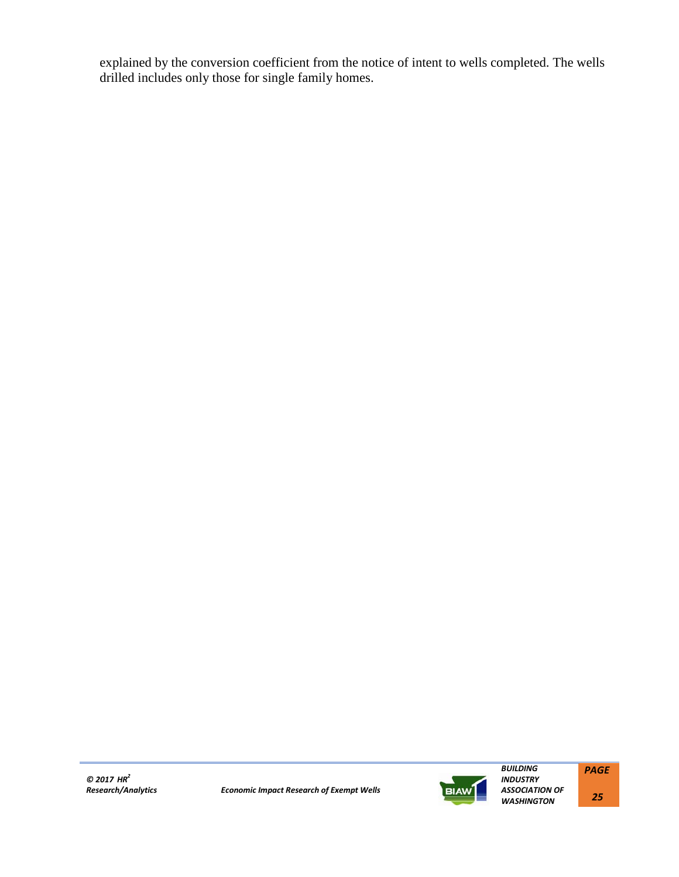explained by the conversion coefficient from the notice of intent to wells completed. The wells drilled includes only those for single family homes.

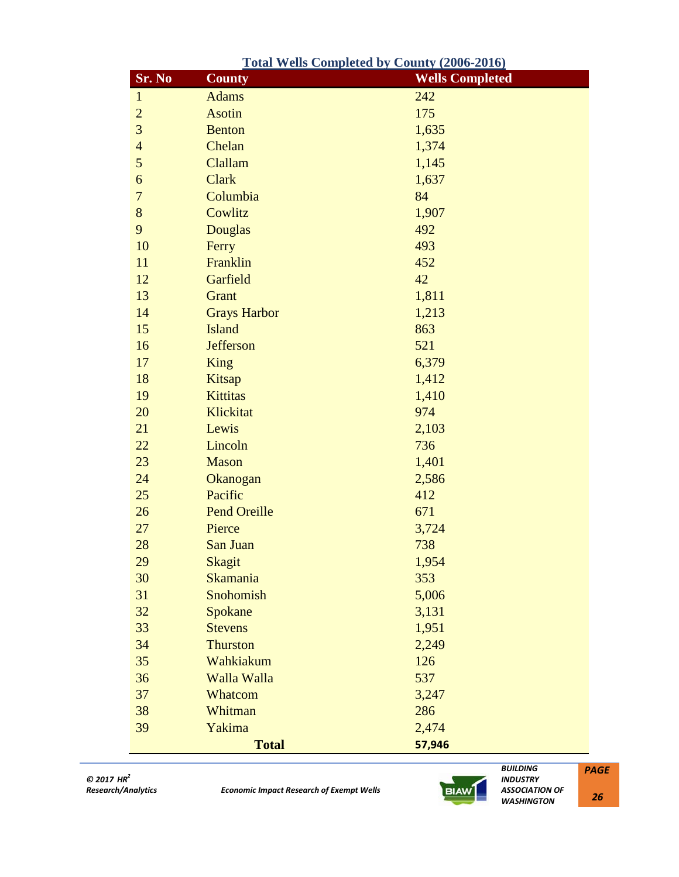|                | <u><b>Total Wells Completed by County (2006-2016)</b></u> |                        |
|----------------|-----------------------------------------------------------|------------------------|
| Sr. No         | $\overline{\text{Country}}$                               | <b>Wells Completed</b> |
| $\mathbf{1}$   | <b>Adams</b>                                              | 242                    |
| $\overline{2}$ | <b>Asotin</b>                                             | 175                    |
| 3              | <b>Benton</b>                                             | 1,635                  |
| $\overline{4}$ | Chelan                                                    | 1,374                  |
| 5              | Clallam                                                   | 1,145                  |
| 6              | <b>Clark</b>                                              | 1,637                  |
| $\overline{7}$ | Columbia                                                  | 84                     |
| 8              | Cowlitz                                                   | 1,907                  |
| 9              | <b>Douglas</b>                                            | 492                    |
| 10             | Ferry                                                     | 493                    |
| 11             | Franklin                                                  | 452                    |
| 12             | Garfield                                                  | 42                     |
| 13             | Grant                                                     | 1,811                  |
| 14             | <b>Grays Harbor</b>                                       | 1,213                  |
| 15             | <b>Island</b>                                             | 863                    |
| 16             | <b>Jefferson</b>                                          | 521                    |
| 17             | <b>King</b>                                               | 6,379                  |
| 18             | Kitsap                                                    | 1,412                  |
| 19             | <b>Kittitas</b>                                           | 1,410                  |
| 20             | Klickitat                                                 | 974                    |
| 21             | Lewis                                                     | 2,103                  |
| 22             | Lincoln                                                   | 736                    |
| 23             | <b>Mason</b>                                              | 1,401                  |
| 24             | Okanogan                                                  | 2,586                  |
| 25             | Pacific                                                   | 412                    |
| 26             | <b>Pend Oreille</b>                                       | 671                    |
| 27             | Pierce                                                    | 3,724                  |
| 28             | San Juan                                                  | 738                    |
| 29             | <b>Skagit</b>                                             | 1,954                  |
| 30             | <b>Skamania</b>                                           | 353                    |
| 31             | Snohomish                                                 | 5,006                  |
| 32             | Spokane                                                   | 3,131                  |
| 33             | <b>Stevens</b>                                            | 1,951                  |
| 34             | <b>Thurston</b>                                           | 2,249                  |
| 35             | Wahkiakum                                                 | 126                    |
| 36             | Walla Walla                                               | 537                    |
| 37             | Whatcom                                                   | 3,247                  |
| 38             | Whitman                                                   | 286                    |
| 39             | Yakima                                                    | 2,474                  |
|                | <b>Total</b>                                              | 57,946                 |



 *BUILDING INDUSTRY ASSOCIATION OF WASHINGTON*

*PAGE*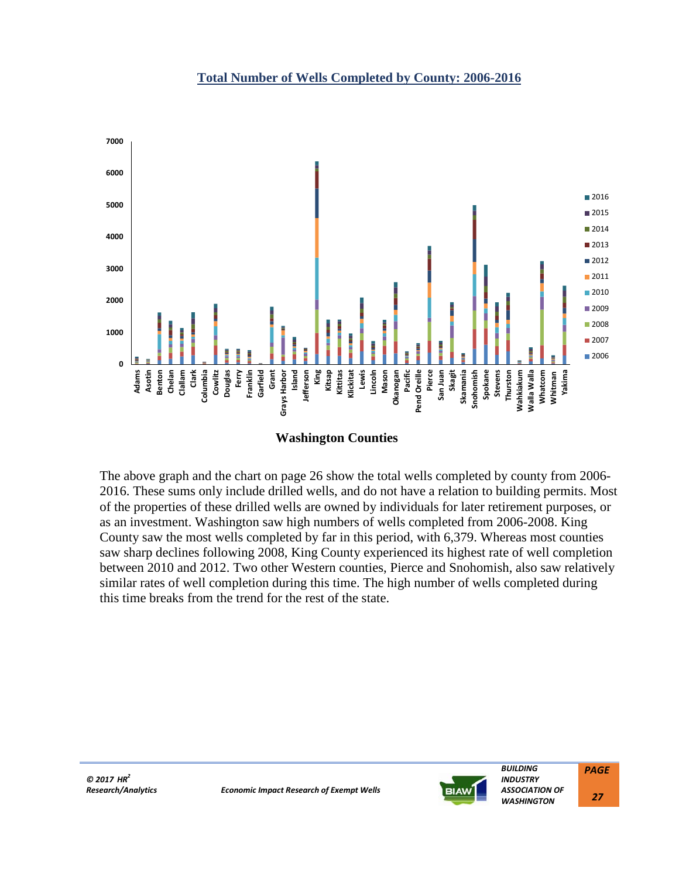



The above graph and the chart on page 26 show the total wells completed by county from 2006- 2016. These sums only include drilled wells, and do not have a relation to building permits. Most of the properties of these drilled wells are owned by individuals for later retirement purposes, or as an investment. Washington saw high numbers of wells completed from 2006-2008. King County saw the most wells completed by far in this period, with 6,379. Whereas most counties saw sharp declines following 2008, King County experienced its highest rate of well completion between 2010 and 2012. Two other Western counties, Pierce and Snohomish, also saw relatively similar rates of well completion during this time. The high number of wells completed during this time breaks from the trend for the rest of the state.



 *BUILDING INDUSTRY ASSOCIATION OF WASHINGTON PAGE*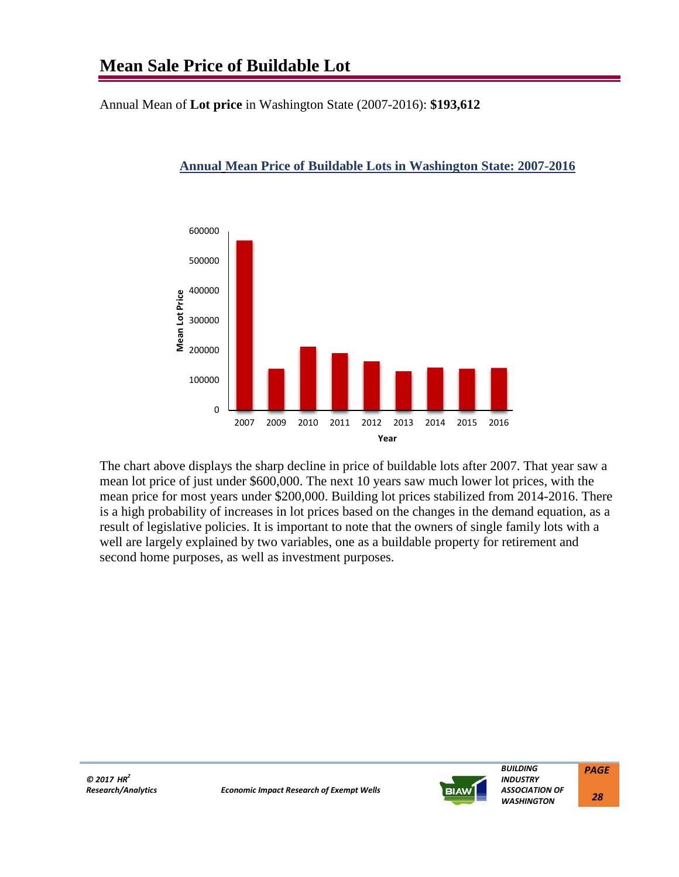Annual Mean of **Lot price** in Washington State (2007-2016): **\$193,612**



# **Annual Mean Price of Buildable Lots in Washington State: 2007-2016**

The chart above displays the sharp decline in price of buildable lots after 2007. That year saw a mean lot price of just under \$600,000. The next 10 years saw much lower lot prices, with the mean price for most years under \$200,000. Building lot prices stabilized from 2014-2016. There is a high probability of increases in lot prices based on the changes in the demand equation, as a result of legislative policies. It is important to note that the owners of single family lots with a well are largely explained by two variables, one as a buildable property for retirement and second home purposes, as well as investment purposes.



 *BUILDING INDUSTRY ASSOCIATION OF WASHINGTON PAGE*

 *28*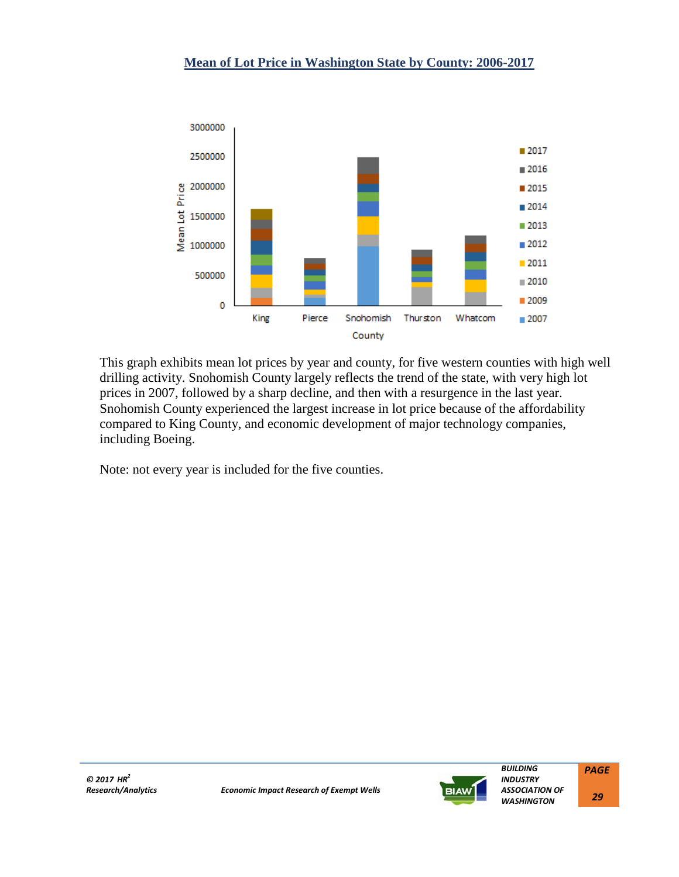

This graph exhibits mean lot prices by year and county, for five western counties with high well drilling activity. Snohomish County largely reflects the trend of the state, with very high lot prices in 2007, followed by a sharp decline, and then with a resurgence in the last year. Snohomish County experienced the largest increase in lot price because of the affordability compared to King County, and economic development of major technology companies, including Boeing.

Note: not every year is included for the five counties.

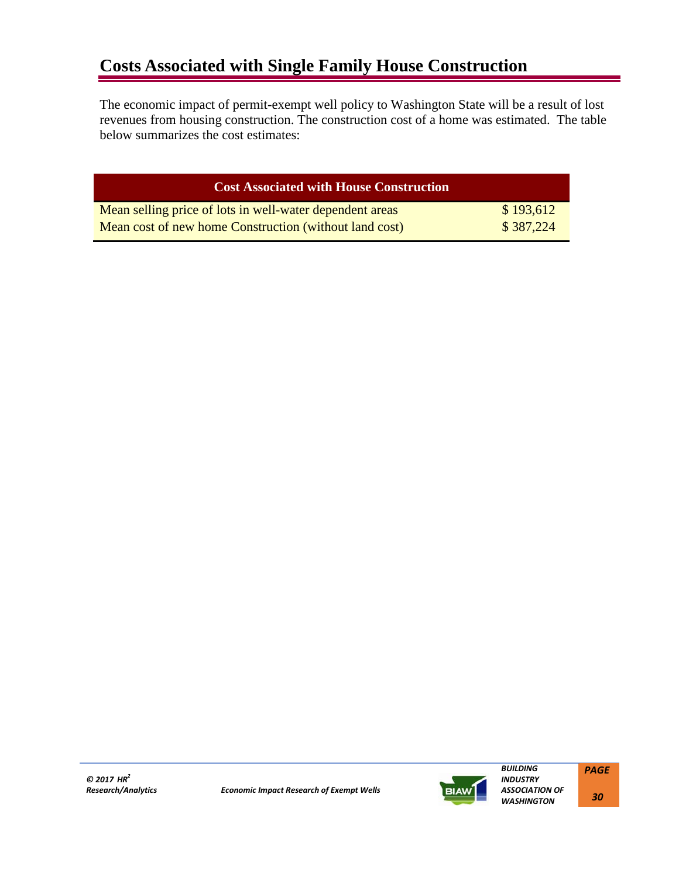# **Costs Associated with Single Family House Construction**

The economic impact of permit-exempt well policy to Washington State will be a result of lost revenues from housing construction. The construction cost of a home was estimated. The table below summarizes the cost estimates:

| <b>Cost Associated with House Construction</b>           |           |
|----------------------------------------------------------|-----------|
| Mean selling price of lots in well-water dependent areas | \$193,612 |
| Mean cost of new home Construction (without land cost)   | \$387,224 |

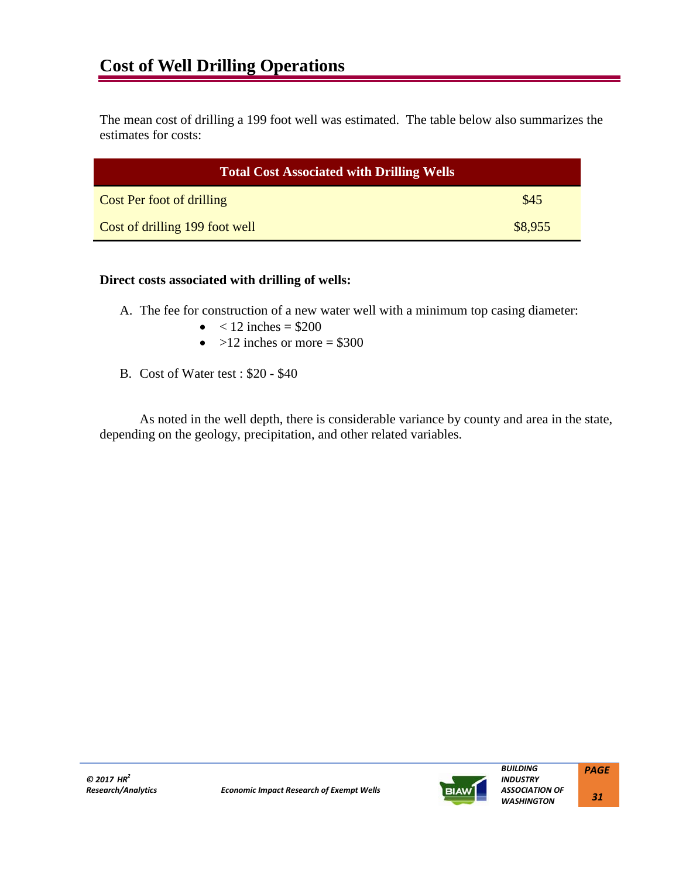The mean cost of drilling a 199 foot well was estimated. The table below also summarizes the estimates for costs:

| <b>Total Cost Associated with Drilling Wells</b> |         |  |
|--------------------------------------------------|---------|--|
| <b>Cost Per foot of drilling</b>                 | \$45    |  |
| Cost of drilling 199 foot well                   | \$8,955 |  |

#### **Direct costs associated with drilling of wells:**

- A. The fee for construction of a new water well with a minimum top casing diameter:
	- $< 12$  inches  $= $200$
	- $>12$  inches or more = \$300
- B. Cost of Water test : \$20 \$40

As noted in the well depth, there is considerable variance by county and area in the state, depending on the geology, precipitation, and other related variables.



 *BUILDING INDUSTRY*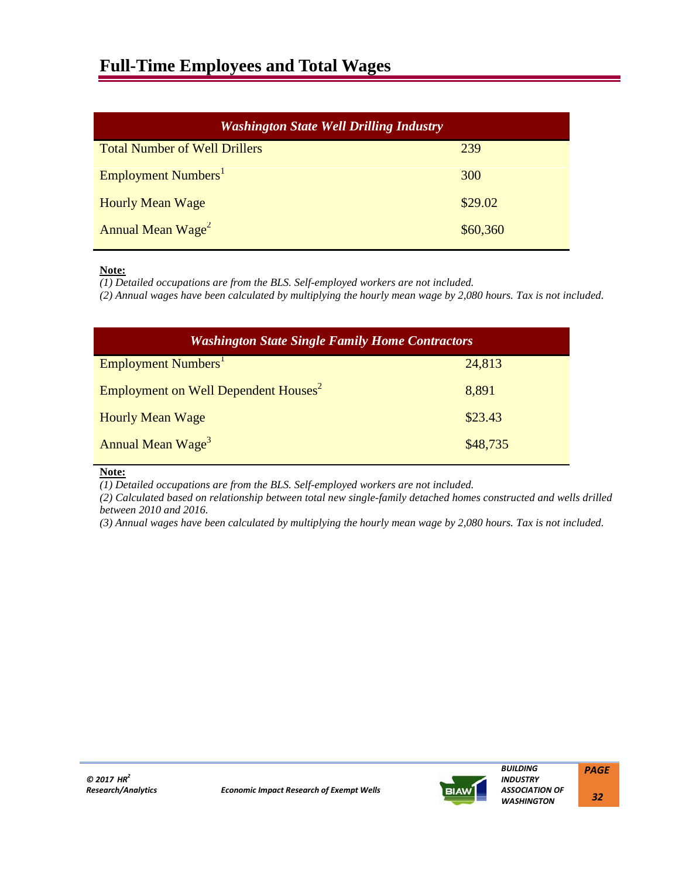# **Full-Time Employees and Total Wages**

| <b>Washington State Well Drilling Industry</b> |          |  |
|------------------------------------------------|----------|--|
| <b>Total Number of Well Drillers</b>           | 239      |  |
| Employment Numbers <sup>1</sup>                | 300      |  |
| <b>Hourly Mean Wage</b>                        | \$29.02  |  |
| Annual Mean Wage <sup>2</sup>                  | \$60,360 |  |

#### **Note:**

*(1) Detailed occupations are from the BLS. Self-employed workers are not included.*

*(2) Annual wages have been calculated by multiplying the hourly mean wage by 2,080 hours. Tax is not included.*

| <b>Washington State Single Family Home Contractors</b> |          |  |
|--------------------------------------------------------|----------|--|
| Employment Numbers <sup>1</sup>                        | 24,813   |  |
| Employment on Well Dependent Houses <sup>2</sup>       | 8,891    |  |
| <b>Hourly Mean Wage</b>                                | \$23.43  |  |
| Annual Mean Wage <sup>3</sup>                          | \$48,735 |  |

**Note:**

*(1) Detailed occupations are from the BLS. Self-employed workers are not included.*

*(2) Calculated based on relationship between total new single-family detached homes constructed and wells drilled between 2010 and 2016.*

*(3) Annual wages have been calculated by multiplying the hourly mean wage by 2,080 hours. Tax is not included.*



 *BUILDING INDUSTRY*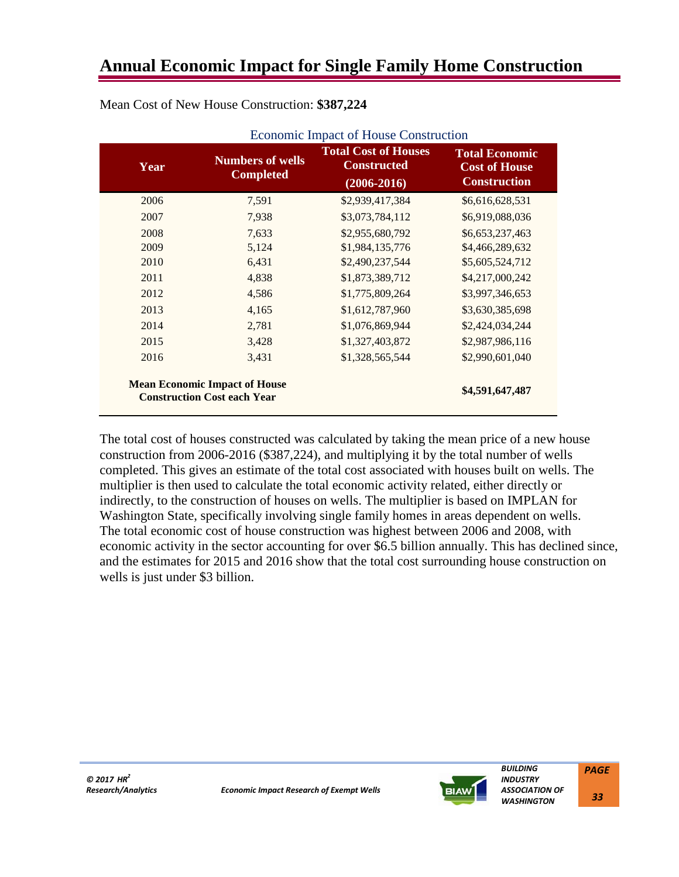| Year | <b>Numbers of wells</b><br><b>Completed</b>                                | <b>Total Cost of Houses</b><br><b>Constructed</b><br>$(2006 - 2016)$ | <b>Total Economic</b><br><b>Cost of House</b><br><b>Construction</b> |
|------|----------------------------------------------------------------------------|----------------------------------------------------------------------|----------------------------------------------------------------------|
| 2006 | 7,591                                                                      | \$2,939,417,384                                                      | \$6,616,628,531                                                      |
| 2007 | 7,938                                                                      | \$3,073,784,112                                                      | \$6,919,088,036                                                      |
| 2008 | 7,633                                                                      | \$2,955,680,792                                                      | \$6,653,237,463                                                      |
| 2009 | 5,124                                                                      | \$1,984,135,776                                                      | \$4,466,289,632                                                      |
| 2010 | 6,431                                                                      | \$2,490,237,544                                                      | \$5,605,524,712                                                      |
| 2011 | 4,838                                                                      | \$1,873,389,712                                                      | \$4,217,000,242                                                      |
| 2012 | 4,586                                                                      | \$1,775,809,264                                                      | \$3,997,346,653                                                      |
| 2013 | 4,165                                                                      | \$1,612,787,960                                                      | \$3,630,385,698                                                      |
| 2014 | 2,781                                                                      | \$1,076,869,944                                                      | \$2,424,034,244                                                      |
| 2015 | 3,428                                                                      | \$1,327,403,872                                                      | \$2,987,986,116                                                      |
| 2016 | 3,431                                                                      | \$1,328,565,544                                                      | \$2,990,601,040                                                      |
|      | <b>Mean Economic Impact of House</b><br><b>Construction Cost each Year</b> |                                                                      | \$4,591,647,487                                                      |

Mean Cost of New House Construction: **\$387,224**

The total cost of houses constructed was calculated by taking the mean price of a new house construction from 2006-2016 (\$387,224), and multiplying it by the total number of wells completed. This gives an estimate of the total cost associated with houses built on wells. The multiplier is then used to calculate the total economic activity related, either directly or indirectly, to the construction of houses on wells. The multiplier is based on IMPLAN for Washington State, specifically involving single family homes in areas dependent on wells. The total economic cost of house construction was highest between 2006 and 2008, with economic activity in the sector accounting for over \$6.5 billion annually. This has declined since, and the estimates for 2015 and 2016 show that the total cost surrounding house construction on wells is just under \$3 billion.



 *BUILDING INDUSTRY ASSOCIATION OF WASHINGTON PAGE*

 *33*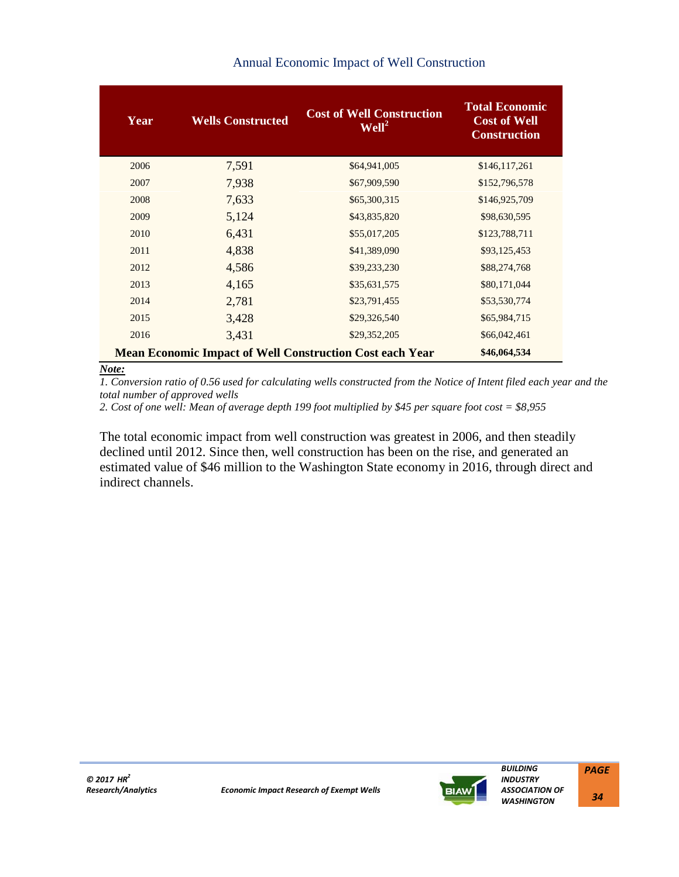| Year | <b>Wells Constructed</b> | <b>Cost of Well Construction</b><br>Well <sup>2</sup>           | <b>Total Economic</b><br><b>Cost of Well</b><br><b>Construction</b> |
|------|--------------------------|-----------------------------------------------------------------|---------------------------------------------------------------------|
| 2006 | 7,591                    | \$64,941,005                                                    | \$146,117,261                                                       |
| 2007 | 7,938                    | \$67,909,590                                                    | \$152,796,578                                                       |
| 2008 | 7,633                    | \$65,300,315                                                    | \$146,925,709                                                       |
| 2009 | 5,124                    | \$43,835,820                                                    | \$98,630,595                                                        |
| 2010 | 6,431                    | \$55,017,205                                                    | \$123,788,711                                                       |
| 2011 | 4,838                    | \$41,389,090                                                    | \$93,125,453                                                        |
| 2012 | 4,586                    | \$39,233,230                                                    | \$88,274,768                                                        |
| 2013 | 4,165                    | \$35,631,575                                                    | \$80,171,044                                                        |
| 2014 | 2,781                    | \$23,791,455                                                    | \$53,530,774                                                        |
| 2015 | 3,428                    | \$29,326,540                                                    | \$65,984,715                                                        |
| 2016 | 3,431                    | \$29,352,205                                                    | \$66,042,461                                                        |
|      |                          | <b>Mean Economic Impact of Well Construction Cost each Year</b> | \$46,064,534                                                        |

# Annual Economic Impact of Well Construction

#### *Note:*

*1. Conversion ratio of 0.56 used for calculating wells constructed from the Notice of Intent filed each year and the total number of approved wells* 

2. Cost of one well: Mean of average depth 199 foot multiplied by \$45 per square foot cost = \$8,955

The total economic impact from well construction was greatest in 2006, and then steadily declined until 2012. Since then, well construction has been on the rise, and generated an estimated value of \$46 million to the Washington State economy in 2016, through direct and indirect channels.



 *BUILDING INDUSTRY ASSOCIATION OF WASHINGTON PAGE*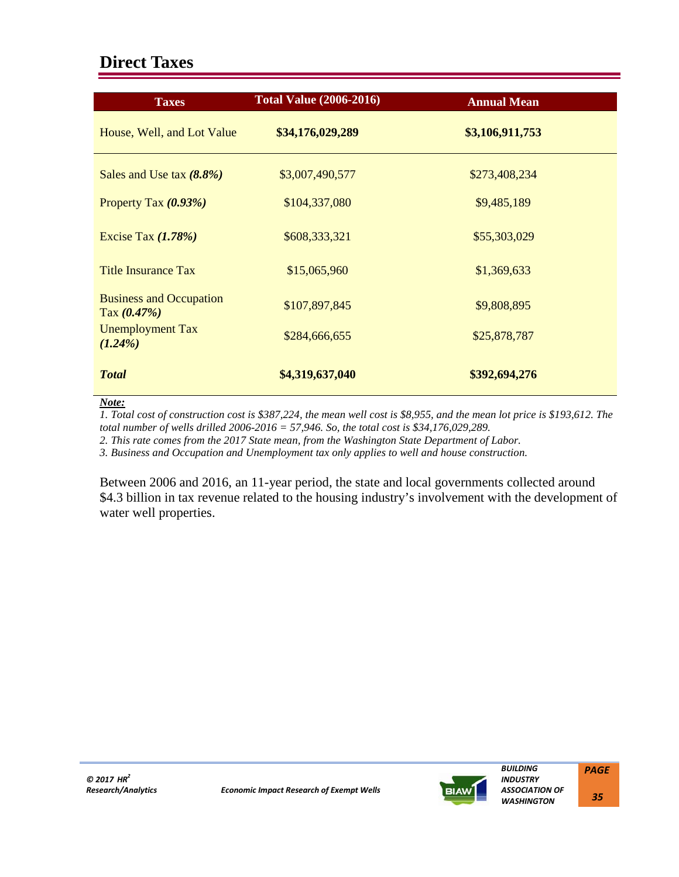# **Direct Taxes**

| <b>Taxes</b>                                    | <b>Total Value (2006-2016)</b> | <b>Annual Mean</b> |
|-------------------------------------------------|--------------------------------|--------------------|
| House, Well, and Lot Value                      | \$34,176,029,289               | \$3,106,911,753    |
| Sales and Use tax $(8.8\%)$                     | \$3,007,490,577                | \$273,408,234      |
| Property Tax $(0.93\%)$                         | \$104,337,080                  | \$9,485,189        |
| Excise Tax $(1.78\%)$                           | \$608,333,321                  | \$55,303,029       |
| <b>Title Insurance Tax</b>                      | \$15,065,960                   | \$1,369,633        |
| <b>Business and Occupation</b><br>Tax $(0.47%)$ | \$107,897,845                  | \$9,808,895        |
| <b>Unemployment Tax</b><br>$(1.24\%)$           | \$284,666,655                  | \$25,878,787       |
| <b>Total</b>                                    | \$4,319,637,040                | \$392,694,276      |

*Note:*

*1. Total cost of construction cost is \$387,224, the mean well cost is \$8,955, and the mean lot price is \$193,612. The total number of wells drilled 2006-2016 = 57,946. So, the total cost is \$34,176,029,289.*

*2. This rate comes from the 2017 State mean, from the Washington State Department of Labor.*

*3. Business and Occupation and Unemployment tax only applies to well and house construction.*

Between 2006 and 2016, an 11-year period, the state and local governments collected around \$4.3 billion in tax revenue related to the housing industry's involvement with the development of water well properties.



 *BUILDING INDUSTRY ASSOCIATION OF WASHINGTON PAGE*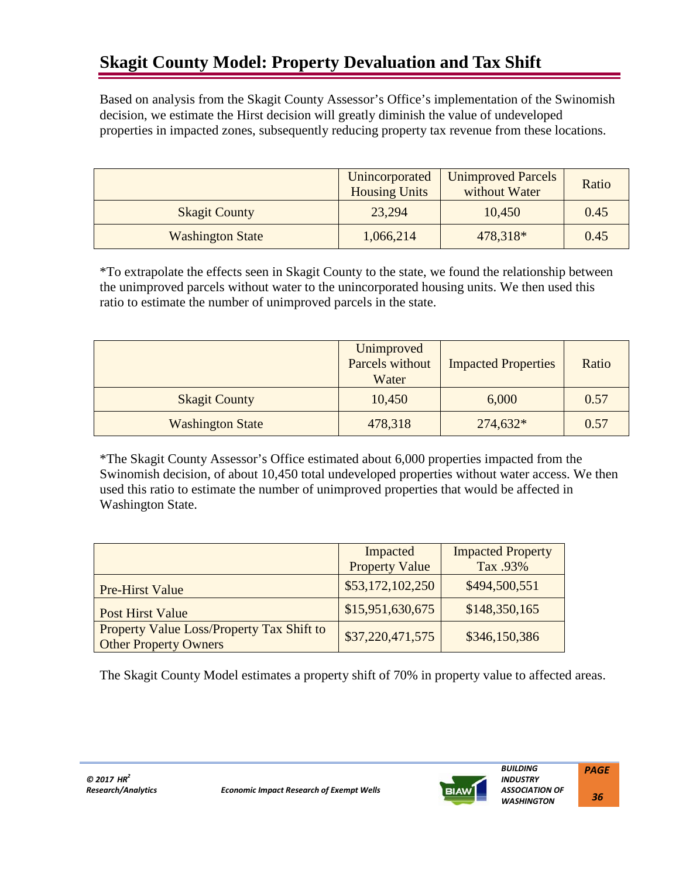# **Skagit County Model: Property Devaluation and Tax Shift**

Based on analysis from the Skagit County Assessor's Office's implementation of the Swinomish decision, we estimate the Hirst decision will greatly diminish the value of undeveloped properties in impacted zones, subsequently reducing property tax revenue from these locations.

|                         | Unincorporated<br><b>Housing Units</b> | <b>Unimproved Parcels</b><br>without Water | Ratio |
|-------------------------|----------------------------------------|--------------------------------------------|-------|
| <b>Skagit County</b>    | 23,294                                 | 10,450                                     | 0.45  |
| <b>Washington State</b> | 1,066,214                              | 478,318*                                   | 0.45  |

\*To extrapolate the effects seen in Skagit County to the state, we found the relationship between the unimproved parcels without water to the unincorporated housing units. We then used this ratio to estimate the number of unimproved parcels in the state.

|                         | Unimproved<br>Parcels without<br>Water | <b>Impacted Properties</b> | Ratio |
|-------------------------|----------------------------------------|----------------------------|-------|
| <b>Skagit County</b>    | 10,450                                 | 6,000                      | 0.57  |
| <b>Washington State</b> | 478,318                                | $274,632*$                 | 0.57  |

\*The Skagit County Assessor's Office estimated about 6,000 properties impacted from the Swinomish decision, of about 10,450 total undeveloped properties without water access. We then used this ratio to estimate the number of unimproved properties that would be affected in Washington State.

|                                                                           | Impacted              | <b>Impacted Property</b> |
|---------------------------------------------------------------------------|-----------------------|--------------------------|
|                                                                           | <b>Property Value</b> | Tax .93%                 |
| <b>Pre-Hirst Value</b>                                                    | \$53,172,102,250      | \$494,500,551            |
| <b>Post Hirst Value</b>                                                   | \$15,951,630,675      | \$148,350,165            |
| Property Value Loss/Property Tax Shift to<br><b>Other Property Owners</b> | \$37,220,471,575      | \$346,150,386            |

The Skagit County Model estimates a property shift of 70% in property value to affected areas.

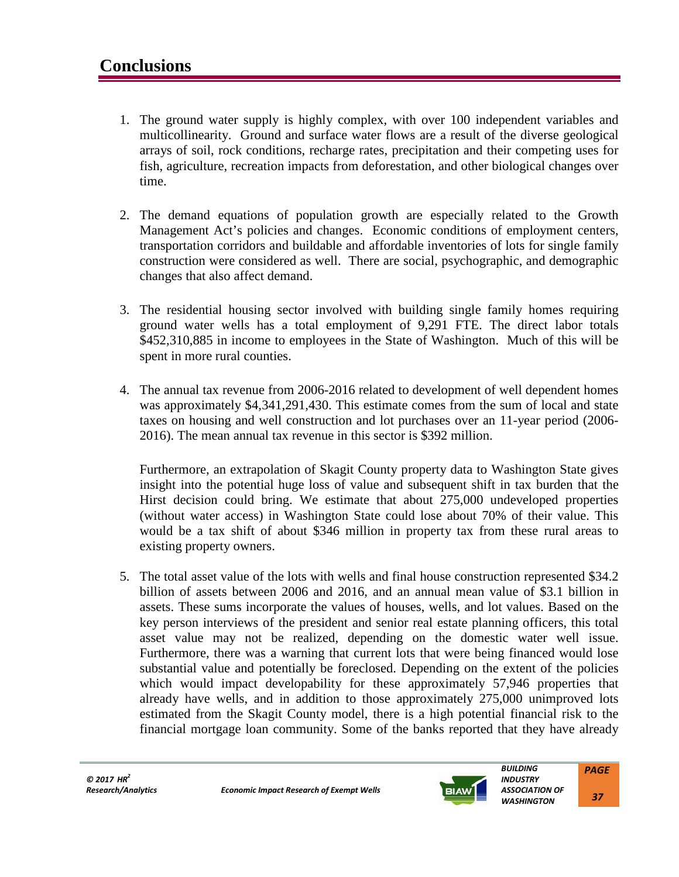- 1. The ground water supply is highly complex, with over 100 independent variables and multicollinearity. Ground and surface water flows are a result of the diverse geological arrays of soil, rock conditions, recharge rates, precipitation and their competing uses for fish, agriculture, recreation impacts from deforestation, and other biological changes over time.
- 2. The demand equations of population growth are especially related to the Growth Management Act's policies and changes. Economic conditions of employment centers, transportation corridors and buildable and affordable inventories of lots for single family construction were considered as well. There are social, psychographic, and demographic changes that also affect demand.
- 3. The residential housing sector involved with building single family homes requiring ground water wells has a total employment of 9,291 FTE. The direct labor totals \$452,310,885 in income to employees in the State of Washington. Much of this will be spent in more rural counties.
- 4. The annual tax revenue from 2006-2016 related to development of well dependent homes was approximately \$4,341,291,430. This estimate comes from the sum of local and state taxes on housing and well construction and lot purchases over an 11-year period (2006- 2016). The mean annual tax revenue in this sector is \$392 million.

Furthermore, an extrapolation of Skagit County property data to Washington State gives insight into the potential huge loss of value and subsequent shift in tax burden that the Hirst decision could bring. We estimate that about 275,000 undeveloped properties (without water access) in Washington State could lose about 70% of their value. This would be a tax shift of about \$346 million in property tax from these rural areas to existing property owners.

5. The total asset value of the lots with wells and final house construction represented \$34.2 billion of assets between 2006 and 2016, and an annual mean value of \$3.1 billion in assets. These sums incorporate the values of houses, wells, and lot values. Based on the key person interviews of the president and senior real estate planning officers, this total asset value may not be realized, depending on the domestic water well issue. Furthermore, there was a warning that current lots that were being financed would lose substantial value and potentially be foreclosed. Depending on the extent of the policies which would impact developability for these approximately 57,946 properties that already have wells, and in addition to those approximately 275,000 unimproved lots estimated from the Skagit County model, there is a high potential financial risk to the financial mortgage loan community. Some of the banks reported that they have already